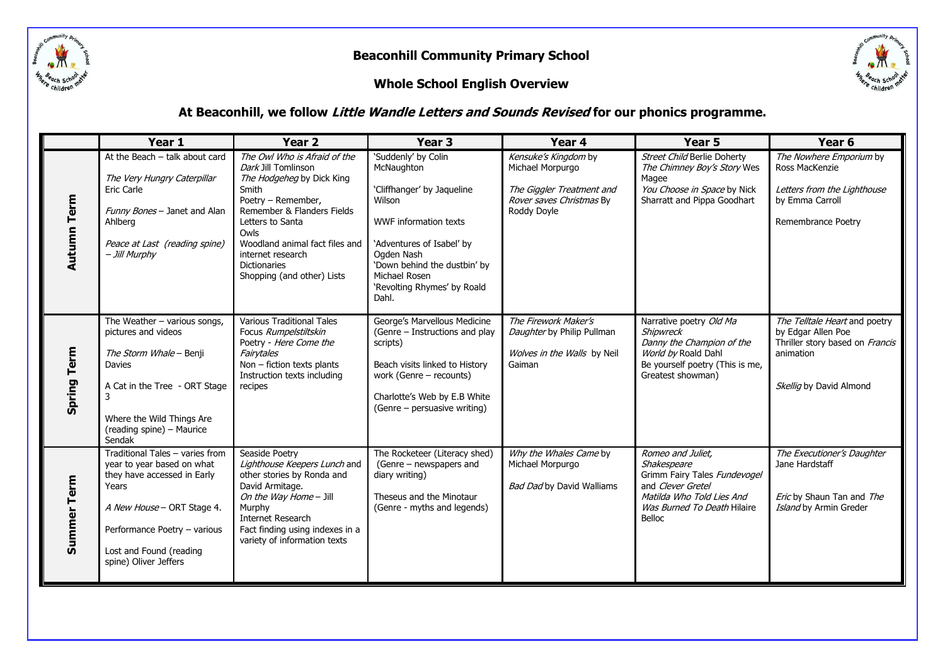

#### **Whole School English Overview**



#### **At Beaconhill, we follow Little Wandle Letters and Sounds Revised for our phonics programme.**

|                    | Year 1                                                                                                                                                                                                                  | <b>Year 2</b>                                                                                                                                                                                                                                                                         | Year <sub>3</sub>                                                                                                                                                                                                                             | Year 4                                                                                                           | Year 5                                                                                                                                                      | Year 6                                                                                                                         |
|--------------------|-------------------------------------------------------------------------------------------------------------------------------------------------------------------------------------------------------------------------|---------------------------------------------------------------------------------------------------------------------------------------------------------------------------------------------------------------------------------------------------------------------------------------|-----------------------------------------------------------------------------------------------------------------------------------------------------------------------------------------------------------------------------------------------|------------------------------------------------------------------------------------------------------------------|-------------------------------------------------------------------------------------------------------------------------------------------------------------|--------------------------------------------------------------------------------------------------------------------------------|
| <b>Autumn Term</b> | At the Beach - talk about card<br>The Very Hungry Caterpillar<br>Eric Carle<br>Funny Bones - Janet and Alan<br>Ahlberg<br>Peace at Last (reading spine)<br>- Jill Murphy                                                | The Owl Who is Afraid of the<br>Dark Jill Tomlinson<br>The Hodgeheg by Dick King<br>Smith<br>Poetry - Remember,<br>Remember & Flanders Fields<br>Letters to Santa<br>Owls<br>Woodland animal fact files and<br>internet research<br><b>Dictionaries</b><br>Shopping (and other) Lists | 'Suddenly' by Colin<br>McNaughton<br>'Cliffhanger' by Jaqueline<br>Wilson<br><b>WWF</b> information texts<br>'Adventures of Isabel' by<br>Ogden Nash<br>'Down behind the dustbin' by<br>Michael Rosen<br>'Revolting Rhymes' by Roald<br>Dahl. | Kensuke's Kingdom by<br>Michael Morpurgo<br>The Giggler Treatment and<br>Rover saves Christmas By<br>Roddy Doyle | <b>Street Child Berlie Doherty</b><br>The Chimney Boy's Story Wes<br>Magee<br>You Choose in Space by Nick<br>Sharratt and Pippa Goodhart                    | The Nowhere Emporium by<br>Ross MacKenzie<br>Letters from the Lighthouse<br>by Emma Carroll<br>Remembrance Poetry              |
| <b>Spring Term</b> | The Weather $-$ various songs,<br>pictures and videos<br>The Storm Whale - Benji<br>Davies<br>A Cat in the Tree - ORT Stage<br>3<br>Where the Wild Things Are<br>(reading spine) - Maurice<br>Sendak                    | <b>Various Traditional Tales</b><br>Focus Rumpelstiltskin<br>Poetry - Here Come the<br>Fairytales<br>Non - fiction texts plants<br>Instruction texts including<br>recipes                                                                                                             | George's Marvellous Medicine<br>(Genre - Instructions and play<br>scripts)<br>Beach visits linked to History<br>work (Genre - recounts)<br>Charlotte's Web by E.B White<br>(Genre - persuasive writing)                                       | The Firework Maker's<br>Daughter by Philip Pullman<br>Wolves in the Walls by Neil<br>Gaiman                      | Narrative poetry Old Ma<br><b>Shipwreck</b><br>Danny the Champion of the<br>World by Roald Dahl<br>Be yourself poetry (This is me,<br>Greatest showman)     | The Telltale Heart and poetry<br>by Edgar Allen Poe<br>Thriller story based on Francis<br>animation<br>Skellig by David Almond |
| Summer Term        | Traditional Tales - varies from<br>year to year based on what<br>they have accessed in Early<br>Years<br>A New House - ORT Stage 4.<br>Performance Poetry - various<br>Lost and Found (reading<br>spine) Oliver Jeffers | Seaside Poetry<br>Lighthouse Keepers Lunch and<br>other stories by Ronda and<br>David Armitage.<br>On the Way Home - Jill<br>Murphy<br>Internet Research<br>Fact finding using indexes in a<br>variety of information texts                                                           | The Rocketeer (Literacy shed)<br>(Genre – newspapers and<br>diary writing)<br>Theseus and the Minotaur<br>(Genre - myths and legends)                                                                                                         | Why the Whales Came by<br>Michael Morpurgo<br><b>Bad Dad by David Walliams</b>                                   | Romeo and Juliet,<br>Shakespeare<br>Grimm Fairy Tales Fundevogel<br>and Clever Gretel<br>Matilda Who Told Lies And<br>Was Burned To Death Hilaire<br>Belloc | The Executioner's Daughter<br>Jane Hardstaff<br>Eric by Shaun Tan and The<br>Island by Armin Greder                            |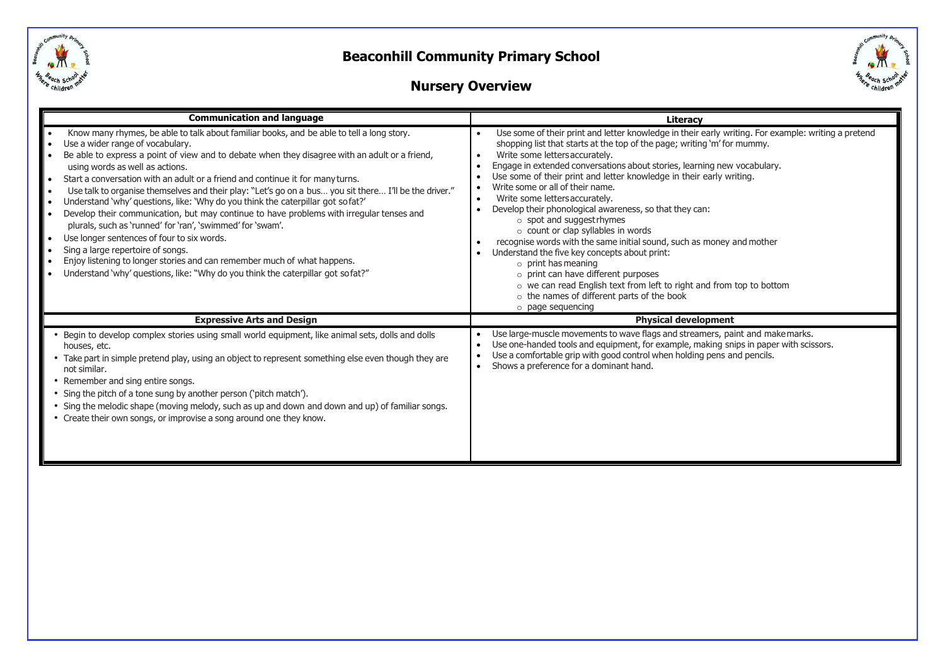



### **Nursery Overview**

| <b>Communication and language</b>                                                                                                                                                                                                                                                                                                                                                                                                                                                                                                                                                                                                                                                                                                                                                                                                                                                                                                                             | Literacy                                                                                                                                                                                                                                                                                                                                                                                                                                                                                                                                                                                                                                                                                                                                                                                                                                                                                                                                                 |  |  |  |
|---------------------------------------------------------------------------------------------------------------------------------------------------------------------------------------------------------------------------------------------------------------------------------------------------------------------------------------------------------------------------------------------------------------------------------------------------------------------------------------------------------------------------------------------------------------------------------------------------------------------------------------------------------------------------------------------------------------------------------------------------------------------------------------------------------------------------------------------------------------------------------------------------------------------------------------------------------------|----------------------------------------------------------------------------------------------------------------------------------------------------------------------------------------------------------------------------------------------------------------------------------------------------------------------------------------------------------------------------------------------------------------------------------------------------------------------------------------------------------------------------------------------------------------------------------------------------------------------------------------------------------------------------------------------------------------------------------------------------------------------------------------------------------------------------------------------------------------------------------------------------------------------------------------------------------|--|--|--|
| Know many rhymes, be able to talk about familiar books, and be able to tell a long story.<br>Use a wider range of vocabulary.<br>Be able to express a point of view and to debate when they disagree with an adult or a friend,<br>using words as well as actions.<br>Start a conversation with an adult or a friend and continue it for many turns.<br>Use talk to organise themselves and their play: "Let's go on a bus you sit there I'll be the driver."<br>Understand 'why' questions, like: 'Why do you think the caterpillar got sofat?'<br>Develop their communication, but may continue to have problems with irregular tenses and<br>plurals, such as 'runned' for 'ran', 'swimmed' for 'swam'.<br>Use longer sentences of four to six words.<br>Sing a large repertoire of songs.<br>Enjoy listening to longer stories and can remember much of what happens.<br>Understand 'why' questions, like: "Why do you think the caterpillar got so fat?" | Use some of their print and letter knowledge in their early writing. For example: writing a pretend<br>shopping list that starts at the top of the page; writing 'm' for mummy.<br>Write some letters accurately.<br>$\bullet$<br>Engage in extended conversations about stories, learning new vocabulary.<br>Use some of their print and letter knowledge in their early writing.<br>Write some or all of their name.<br>Write some letters accurately.<br>$\bullet$<br>Develop their phonological awareness, so that they can:<br>$\circ$ spot and suggest rhymes<br>o count or clap syllables in words<br>recognise words with the same initial sound, such as money and mother<br>Understand the five key concepts about print:<br>$\circ$ print has meaning<br>$\circ$ print can have different purposes<br>o we can read English text from left to right and from top to bottom<br>o the names of different parts of the book<br>o page sequencing |  |  |  |
| <b>Expressive Arts and Design</b>                                                                                                                                                                                                                                                                                                                                                                                                                                                                                                                                                                                                                                                                                                                                                                                                                                                                                                                             | <b>Physical development</b>                                                                                                                                                                                                                                                                                                                                                                                                                                                                                                                                                                                                                                                                                                                                                                                                                                                                                                                              |  |  |  |
| Begin to develop complex stories using small world equipment, like animal sets, dolls and dolls<br>houses, etc.<br>• Take part in simple pretend play, using an object to represent something else even though they are<br>not similar.<br>Remember and sing entire songs.<br>Sing the pitch of a tone sung by another person ('pitch match').<br>Sing the melodic shape (moving melody, such as up and down and down and up) of familiar songs.<br>• Create their own songs, or improvise a song around one they know.                                                                                                                                                                                                                                                                                                                                                                                                                                       | Use large-muscle movements to wave flags and streamers, paint and make marks.<br>Use one-handed tools and equipment, for example, making snips in paper with scissors.<br>Use a comfortable grip with good control when holding pens and pencils.<br>Shows a preference for a dominant hand.                                                                                                                                                                                                                                                                                                                                                                                                                                                                                                                                                                                                                                                             |  |  |  |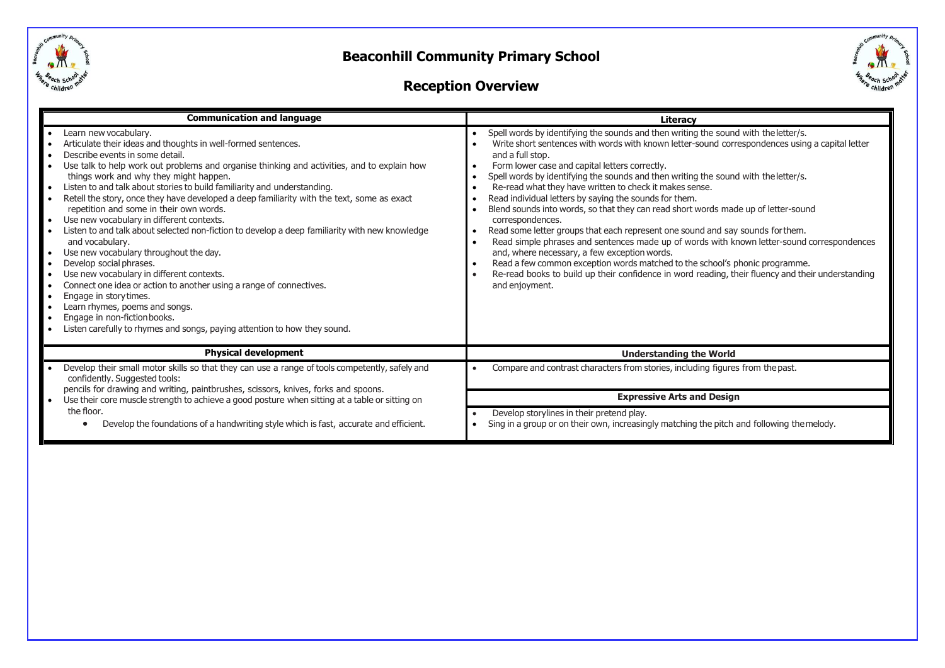



### **Reception Overview**

| <b>Communication and language</b>                                                                                                                                                                                                                                                                                                                                                                                                                                                                                                                                                                                                                                                                                                                                                                                                                                                                                                                                                                                                 | Literacy                                                                                                                                                                                                                                                                                                                                                                                                                                                                                                                                                                                                                                                                                                                                                                                                                                                                                                                                                                                                                 |
|-----------------------------------------------------------------------------------------------------------------------------------------------------------------------------------------------------------------------------------------------------------------------------------------------------------------------------------------------------------------------------------------------------------------------------------------------------------------------------------------------------------------------------------------------------------------------------------------------------------------------------------------------------------------------------------------------------------------------------------------------------------------------------------------------------------------------------------------------------------------------------------------------------------------------------------------------------------------------------------------------------------------------------------|--------------------------------------------------------------------------------------------------------------------------------------------------------------------------------------------------------------------------------------------------------------------------------------------------------------------------------------------------------------------------------------------------------------------------------------------------------------------------------------------------------------------------------------------------------------------------------------------------------------------------------------------------------------------------------------------------------------------------------------------------------------------------------------------------------------------------------------------------------------------------------------------------------------------------------------------------------------------------------------------------------------------------|
| Learn new vocabulary.<br>Articulate their ideas and thoughts in well-formed sentences.<br>Describe events in some detail.<br>Use talk to help work out problems and organise thinking and activities, and to explain how<br>things work and why they might happen.<br>Listen to and talk about stories to build familiarity and understanding.<br>Retell the story, once they have developed a deep familiarity with the text, some as exact<br>repetition and some in their own words.<br>Use new vocabulary in different contexts.<br>Listen to and talk about selected non-fiction to develop a deep familiarity with new knowledge<br>and vocabulary.<br>Use new vocabulary throughout the day.<br>Develop social phrases.<br>Use new vocabulary in different contexts.<br>Connect one idea or action to another using a range of connectives.<br>Engage in story times.<br>I۰<br>Learn rhymes, poems and songs.<br>Engage in non-fiction books.<br>Listen carefully to rhymes and songs, paying attention to how they sound. | Spell words by identifying the sounds and then writing the sound with the letter/s.<br>Write short sentences with words with known letter-sound correspondences using a capital letter<br>and a full stop.<br>Form lower case and capital letters correctly.<br>Spell words by identifying the sounds and then writing the sound with the letter/s.<br>Re-read what they have written to check it makes sense.<br>Read individual letters by saying the sounds for them.<br>Blend sounds into words, so that they can read short words made up of letter-sound<br>correspondences.<br>Read some letter groups that each represent one sound and say sounds for them.<br>Read simple phrases and sentences made up of words with known letter-sound correspondences<br>and, where necessary, a few exception words.<br>Read a few common exception words matched to the school's phonic programme.<br>Re-read books to build up their confidence in word reading, their fluency and their understanding<br>and enjoyment. |
| <b>Physical development</b>                                                                                                                                                                                                                                                                                                                                                                                                                                                                                                                                                                                                                                                                                                                                                                                                                                                                                                                                                                                                       | <b>Understanding the World</b>                                                                                                                                                                                                                                                                                                                                                                                                                                                                                                                                                                                                                                                                                                                                                                                                                                                                                                                                                                                           |
| Develop their small motor skills so that they can use a range of tools competently, safely and<br>confidently. Suggested tools:                                                                                                                                                                                                                                                                                                                                                                                                                                                                                                                                                                                                                                                                                                                                                                                                                                                                                                   | Compare and contrast characters from stories, including figures from the past.                                                                                                                                                                                                                                                                                                                                                                                                                                                                                                                                                                                                                                                                                                                                                                                                                                                                                                                                           |
| pencils for drawing and writing, paintbrushes, scissors, knives, forks and spoons.<br>Use their core muscle strength to achieve a good posture when sitting at a table or sitting on                                                                                                                                                                                                                                                                                                                                                                                                                                                                                                                                                                                                                                                                                                                                                                                                                                              | <b>Expressive Arts and Design</b>                                                                                                                                                                                                                                                                                                                                                                                                                                                                                                                                                                                                                                                                                                                                                                                                                                                                                                                                                                                        |
| the floor.<br>Develop the foundations of a handwriting style which is fast, accurate and efficient.                                                                                                                                                                                                                                                                                                                                                                                                                                                                                                                                                                                                                                                                                                                                                                                                                                                                                                                               | Develop storylines in their pretend play.<br>Sing in a group or on their own, increasingly matching the pitch and following the melody.                                                                                                                                                                                                                                                                                                                                                                                                                                                                                                                                                                                                                                                                                                                                                                                                                                                                                  |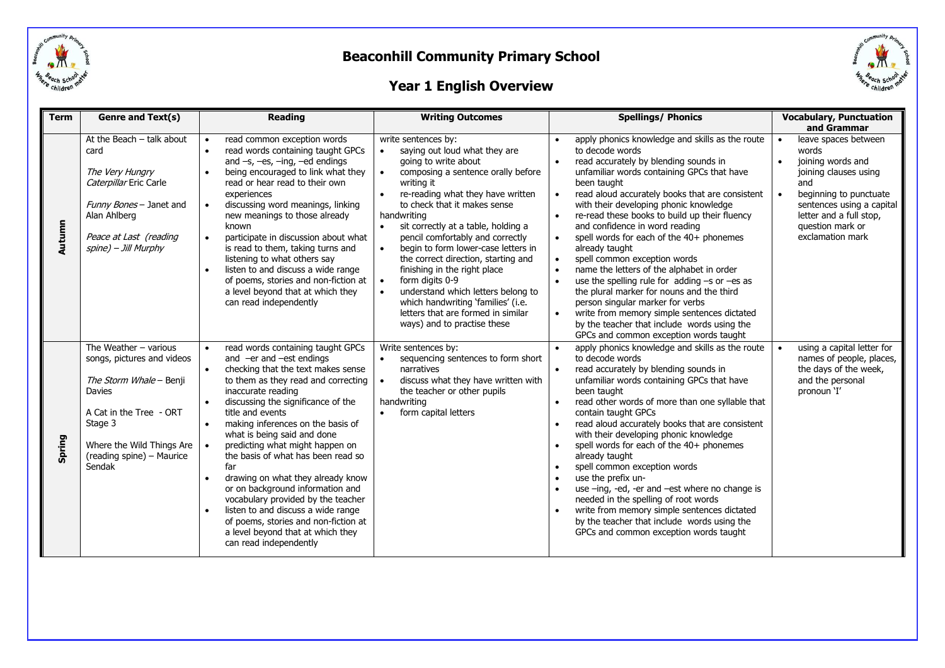

# childre

### **Year 1 English Overview**

| <b>Term</b> | Genre and Text(s)                                                                                                                                                                                    | <b>Reading</b>                                                                                                                                                                                                                                                                                                                                                                                                                                                                                                                                                                                                                                                                                                               | <b>Writing Outcomes</b>                                                                                                                                                                                                                                                                                                                                                                                                                                                                                                                                                                        | <b>Spellings/ Phonics</b>                                                                                                                                                                                                                                                                                                                                                                                                                                                                                                                                                                                                                                                                                                                                                                                                             | <b>Vocabulary, Punctuation</b><br>and Grammar                                                                                                                                                                                                       |
|-------------|------------------------------------------------------------------------------------------------------------------------------------------------------------------------------------------------------|------------------------------------------------------------------------------------------------------------------------------------------------------------------------------------------------------------------------------------------------------------------------------------------------------------------------------------------------------------------------------------------------------------------------------------------------------------------------------------------------------------------------------------------------------------------------------------------------------------------------------------------------------------------------------------------------------------------------------|------------------------------------------------------------------------------------------------------------------------------------------------------------------------------------------------------------------------------------------------------------------------------------------------------------------------------------------------------------------------------------------------------------------------------------------------------------------------------------------------------------------------------------------------------------------------------------------------|---------------------------------------------------------------------------------------------------------------------------------------------------------------------------------------------------------------------------------------------------------------------------------------------------------------------------------------------------------------------------------------------------------------------------------------------------------------------------------------------------------------------------------------------------------------------------------------------------------------------------------------------------------------------------------------------------------------------------------------------------------------------------------------------------------------------------------------|-----------------------------------------------------------------------------------------------------------------------------------------------------------------------------------------------------------------------------------------------------|
| Autumn      | At the Beach - talk about<br>card<br>The Very Hungry<br>Caterpillar Eric Carle<br>Funny Bones - Janet and<br>Alan Ahlberg<br>Peace at Last (reading<br>spine) - Jill Murphy                          | read common exception words<br>$\bullet$<br>read words containing taught GPCs<br>$\bullet$<br>and $-s$ , $-es$ , $-ing$ , $-ed$ endings<br>being encouraged to link what they<br>$\bullet$<br>read or hear read to their own<br>experiences<br>discussing word meanings, linking<br>$\bullet$<br>new meanings to those already<br>known<br>participate in discussion about what<br>$\bullet$<br>is read to them, taking turns and<br>listening to what others say<br>listen to and discuss a wide range<br>$\bullet$<br>of poems, stories and non-fiction at<br>a level beyond that at which they<br>can read independently                                                                                                  | write sentences by:<br>saying out loud what they are<br>going to write about<br>composing a sentence orally before<br>writing it<br>re-reading what they have written<br>to check that it makes sense<br>handwriting<br>sit correctly at a table, holding a<br>pencil comfortably and correctly<br>begin to form lower-case letters in<br>$\bullet$<br>the correct direction, starting and<br>finishing in the right place<br>form digits 0-9<br>understand which letters belong to<br>which handwriting 'families' (i.e.<br>letters that are formed in similar<br>ways) and to practise these | apply phonics knowledge and skills as the route<br>to decode words<br>read accurately by blending sounds in<br>$\bullet$<br>unfamiliar words containing GPCs that have<br>been taught<br>read aloud accurately books that are consistent<br>with their developing phonic knowledge<br>re-read these books to build up their fluency<br>and confidence in word reading<br>spell words for each of the 40+ phonemes<br>$\bullet$<br>already taught<br>spell common exception words<br>$\bullet$<br>name the letters of the alphabet in order<br>use the spelling rule for $adding -s$ or $-es$ as<br>the plural marker for nouns and the third<br>person singular marker for verbs<br>write from memory simple sentences dictated<br>$\bullet$<br>by the teacher that include words using the<br>GPCs and common exception words taught | leave spaces between<br>$\bullet$<br>words<br>joining words and<br>$\bullet$<br>joining clauses using<br>and<br>beginning to punctuate<br>$\bullet$<br>sentences using a capital<br>letter and a full stop,<br>question mark or<br>exclamation mark |
| Spring      | The Weather $-$ various<br>songs, pictures and videos<br>The Storm Whale - Benji<br>Davies<br>A Cat in the Tree - ORT<br>Stage 3<br>Where the Wild Things Are<br>(reading spine) - Maurice<br>Sendak | read words containing taught GPCs<br>and $-er$ and $-est$ endings<br>checking that the text makes sense<br>$\bullet$<br>to them as they read and correcting<br>inaccurate reading<br>discussing the significance of the<br>$\bullet$<br>title and events<br>making inferences on the basis of<br>$\bullet$<br>what is being said and done<br>predicting what might happen on<br>$\bullet$<br>the basis of what has been read so<br>far<br>drawing on what they already know<br>$\bullet$<br>or on background information and<br>vocabulary provided by the teacher<br>listen to and discuss a wide range<br>$\bullet$<br>of poems, stories and non-fiction at<br>a level beyond that at which they<br>can read independently | Write sentences by:<br>sequencing sentences to form short<br>narratives<br>discuss what they have written with<br>the teacher or other pupils<br>handwriting<br>form capital letters<br>$\bullet$                                                                                                                                                                                                                                                                                                                                                                                              | apply phonics knowledge and skills as the route<br>to decode words<br>read accurately by blending sounds in<br>unfamiliar words containing GPCs that have<br>been taught<br>read other words of more than one syllable that<br>$\bullet$<br>contain taught GPCs<br>read aloud accurately books that are consistent<br>with their developing phonic knowledge<br>spell words for each of the 40+ phonemes<br>$\bullet$<br>already taught<br>spell common exception words<br>use the prefix un-<br>$\bullet$<br>use -ing, -ed, -er and -est where no change is<br>needed in the spelling of root words<br>write from memory simple sentences dictated<br>by the teacher that include words using the<br>GPCs and common exception words taught                                                                                          | using a capital letter for<br>$\bullet$<br>names of people, places,<br>the days of the week,<br>and the personal<br>pronoun 'I'                                                                                                                     |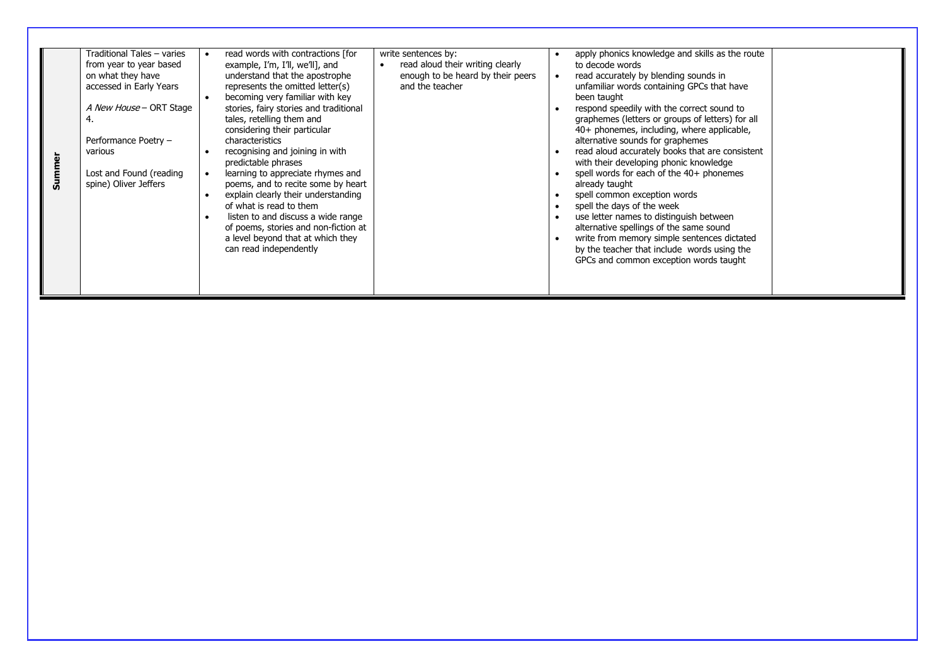| on what they have<br>various<br>Summe | Traditional Tales - varies<br>from year to year based<br>accessed in Early Years<br>A New House - ORT Stage<br>Performance Poetry -<br>Lost and Found (reading<br>spine) Oliver Jeffers | read words with contractions [for<br>example, I'm, I'll, we'll], and<br>understand that the apostrophe<br>represents the omitted letter(s)<br>becoming very familiar with key<br>stories, fairy stories and traditional<br>tales, retelling them and<br>considering their particular<br>characteristics<br>recognising and joining in with<br>predictable phrases<br>learning to appreciate rhymes and<br>poems, and to recite some by heart<br>explain clearly their understanding<br>of what is read to them<br>listen to and discuss a wide range<br>of poems, stories and non-fiction at<br>a level beyond that at which they<br>can read independently | write sentences by:<br>read aloud their writing clearly<br>enough to be heard by their peers<br>and the teacher | $\bullet$ | apply phonics knowledge and skills as the route<br>to decode words<br>read accurately by blending sounds in<br>unfamiliar words containing GPCs that have<br>been taught<br>respond speedily with the correct sound to<br>graphemes (letters or groups of letters) for all<br>40+ phonemes, including, where applicable,<br>alternative sounds for graphemes<br>read aloud accurately books that are consistent<br>with their developing phonic knowledge<br>spell words for each of the 40+ phonemes<br>already taught<br>spell common exception words<br>spell the days of the week<br>use letter names to distinguish between<br>alternative spellings of the same sound<br>write from memory simple sentences dictated<br>by the teacher that include words using the<br>GPCs and common exception words taught |  |
|---------------------------------------|-----------------------------------------------------------------------------------------------------------------------------------------------------------------------------------------|-------------------------------------------------------------------------------------------------------------------------------------------------------------------------------------------------------------------------------------------------------------------------------------------------------------------------------------------------------------------------------------------------------------------------------------------------------------------------------------------------------------------------------------------------------------------------------------------------------------------------------------------------------------|-----------------------------------------------------------------------------------------------------------------|-----------|---------------------------------------------------------------------------------------------------------------------------------------------------------------------------------------------------------------------------------------------------------------------------------------------------------------------------------------------------------------------------------------------------------------------------------------------------------------------------------------------------------------------------------------------------------------------------------------------------------------------------------------------------------------------------------------------------------------------------------------------------------------------------------------------------------------------|--|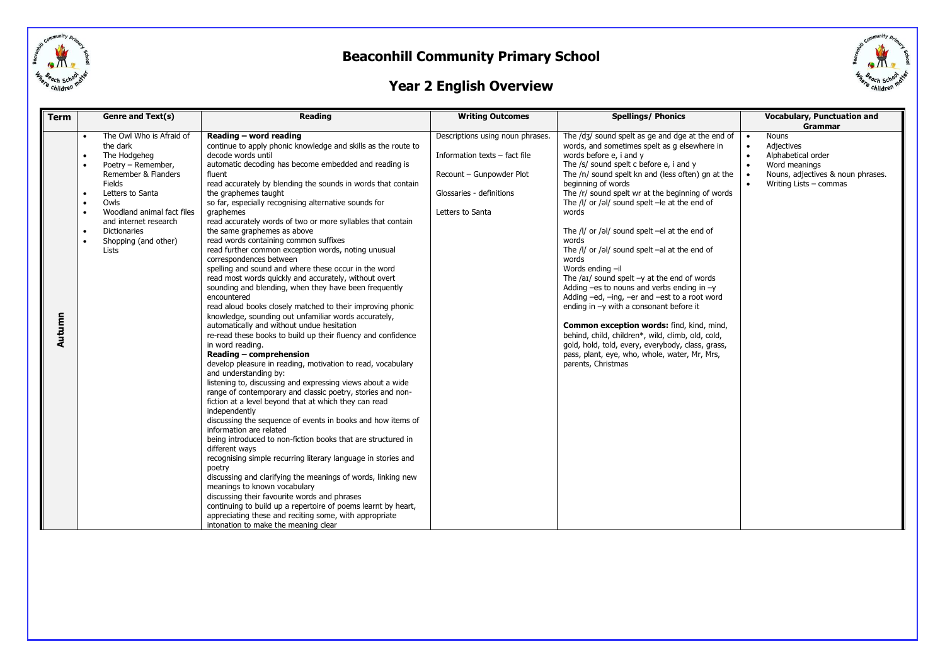



### **Year 2 English Overview**

| <b>Term</b> |           | Genre and Text(s)                                                                                                                                                                                                                                      | Reading                                                                                                                                                                                                                                                                                                                                                                                                                                                                                                                                                                                                                                                                                                                                                                                                                                                                                                                                                                                                                                                                                                                                                                                                                                                                                                                                                                                                                                                                                                                                                                                                                                                                  | <b>Writing Outcomes</b>                                                                                                                       | <b>Spellings/ Phonics</b>                                                                                                                                                                                                                                                                                                                                                                                                                                                                                                                                                                                                                                                                                                                                                                                                                                                                                                                            | <b>Vocabulary, Punctuation and</b>                                                                                                                                                                     |
|-------------|-----------|--------------------------------------------------------------------------------------------------------------------------------------------------------------------------------------------------------------------------------------------------------|--------------------------------------------------------------------------------------------------------------------------------------------------------------------------------------------------------------------------------------------------------------------------------------------------------------------------------------------------------------------------------------------------------------------------------------------------------------------------------------------------------------------------------------------------------------------------------------------------------------------------------------------------------------------------------------------------------------------------------------------------------------------------------------------------------------------------------------------------------------------------------------------------------------------------------------------------------------------------------------------------------------------------------------------------------------------------------------------------------------------------------------------------------------------------------------------------------------------------------------------------------------------------------------------------------------------------------------------------------------------------------------------------------------------------------------------------------------------------------------------------------------------------------------------------------------------------------------------------------------------------------------------------------------------------|-----------------------------------------------------------------------------------------------------------------------------------------------|------------------------------------------------------------------------------------------------------------------------------------------------------------------------------------------------------------------------------------------------------------------------------------------------------------------------------------------------------------------------------------------------------------------------------------------------------------------------------------------------------------------------------------------------------------------------------------------------------------------------------------------------------------------------------------------------------------------------------------------------------------------------------------------------------------------------------------------------------------------------------------------------------------------------------------------------------|--------------------------------------------------------------------------------------------------------------------------------------------------------------------------------------------------------|
| Autumn      | $\bullet$ | The Owl Who is Afraid of<br>the dark<br>The Hodgeheg<br>Poetry - Remember,<br>Remember & Flanders<br>Fields<br>Letters to Santa<br>Owls<br>Woodland animal fact files<br>and internet research<br><b>Dictionaries</b><br>Shopping (and other)<br>Lists | Reading - word reading<br>continue to apply phonic knowledge and skills as the route to<br>decode words until<br>automatic decoding has become embedded and reading is<br>fluent<br>read accurately by blending the sounds in words that contain<br>the graphemes taught<br>so far, especially recognising alternative sounds for<br>graphemes<br>read accurately words of two or more syllables that contain<br>the same graphemes as above<br>read words containing common suffixes<br>read further common exception words, noting unusual<br>correspondences between<br>spelling and sound and where these occur in the word<br>read most words quickly and accurately, without overt<br>sounding and blending, when they have been frequently<br>encountered<br>read aloud books closely matched to their improving phonic<br>knowledge, sounding out unfamiliar words accurately,<br>automatically and without undue hesitation<br>re-read these books to build up their fluency and confidence<br>in word reading.<br>Reading - comprehension<br>develop pleasure in reading, motivation to read, vocabulary<br>and understanding by:<br>listening to, discussing and expressing views about a wide<br>range of contemporary and classic poetry, stories and non-<br>fiction at a level beyond that at which they can read<br>independently<br>discussing the sequence of events in books and how items of<br>information are related<br>being introduced to non-fiction books that are structured in<br>different wavs<br>recognising simple recurring literary language in stories and<br>poetry<br>discussing and clarifying the meanings of words, linking new | Descriptions using noun phrases.<br>Information texts - fact file<br>Recount - Gunpowder Plot<br>Glossaries - definitions<br>Letters to Santa | The /d3/ sound spelt as ge and dge at the end of<br>words, and sometimes spelt as g elsewhere in<br>words before e, i and y<br>The /s/ sound spelt c before e, i and y<br>The /n/ sound spelt kn and (less often) gn at the<br>beginning of words<br>The /r/ sound spelt wr at the beginning of words<br>The /l/ or /əl/ sound spelt -le at the end of<br>words<br>The /l/ or /əl/ sound spelt -el at the end of<br>words<br>The /l/ or /əl/ sound spelt -al at the end of<br>words<br>Words ending -il<br>The $\alpha$ /aɪ/ sound spelt $-\gamma$ at the end of words<br>Adding $-es$ to nouns and verbs ending in $-y$<br>Adding -ed, -ing, -er and -est to a root word<br>ending in $-y$ with a consonant before it<br>Common exception words: find, kind, mind,<br>behind, child, children*, wild, climb, old, cold,<br>gold, hold, told, every, everybody, class, grass,<br>pass, plant, eye, who, whole, water, Mr, Mrs,<br>parents, Christmas | <b>Grammar</b><br><b>Nouns</b><br>$\bullet$<br>Adjectives<br>$\bullet$<br>Alphabetical order<br>$\bullet$<br>Word meanings<br>$\bullet$<br>Nouns, adjectives & noun phrases.<br>Writing Lists - commas |
|             |           |                                                                                                                                                                                                                                                        | meanings to known vocabulary<br>discussing their favourite words and phrases<br>continuing to build up a repertoire of poems learnt by heart,<br>appreciating these and reciting some, with appropriate<br>intonation to make the meaning clear                                                                                                                                                                                                                                                                                                                                                                                                                                                                                                                                                                                                                                                                                                                                                                                                                                                                                                                                                                                                                                                                                                                                                                                                                                                                                                                                                                                                                          |                                                                                                                                               |                                                                                                                                                                                                                                                                                                                                                                                                                                                                                                                                                                                                                                                                                                                                                                                                                                                                                                                                                      |                                                                                                                                                                                                        |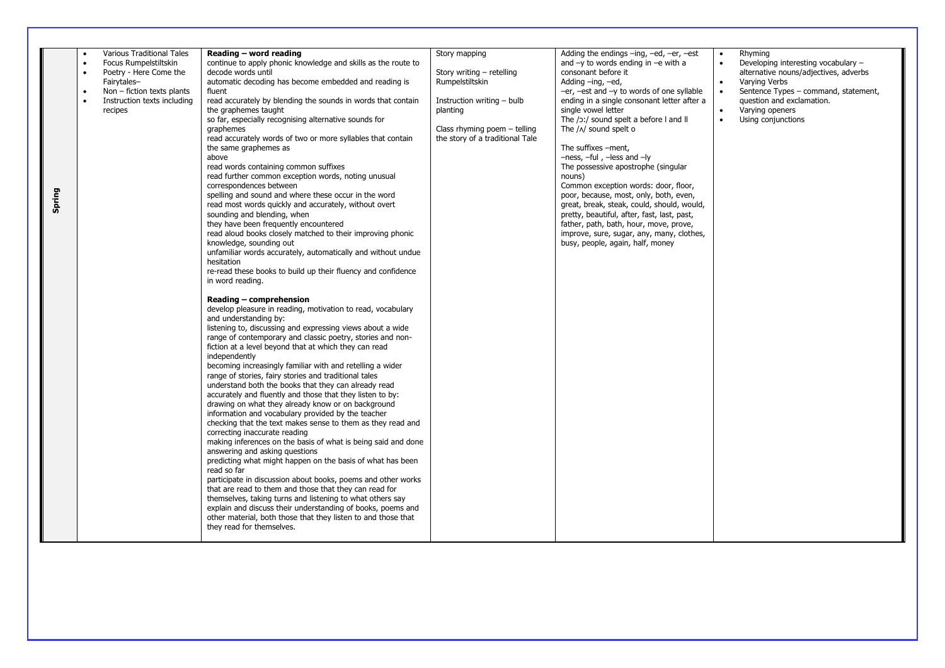| Spring | Various Traditional Tales<br>$\bullet$<br>Focus Rumpelstiltskin<br>$\bullet$<br>Poetry - Here Come the<br>Fairytales-<br>Non - fiction texts plants<br>$\bullet$<br>Instruction texts including<br>recipes | Reading - word reading<br>continue to apply phonic knowledge and skills as the route to<br>decode words until<br>automatic decoding has become embedded and reading is<br>fluent<br>read accurately by blending the sounds in words that contain<br>the graphemes taught<br>so far, especially recognising alternative sounds for<br>graphemes<br>read accurately words of two or more syllables that contain<br>the same graphemes as<br>above<br>read words containing common suffixes<br>read further common exception words, noting unusual<br>correspondences between<br>spelling and sound and where these occur in the word<br>read most words quickly and accurately, without overt<br>sounding and blending, when<br>they have been frequently encountered<br>read aloud books closely matched to their improving phonic<br>knowledge, sounding out<br>unfamiliar words accurately, automatically and without undue<br>hesitation<br>re-read these books to build up their fluency and confidence<br>in word reading.<br>Reading – comprehension<br>develop pleasure in reading, motivation to read, vocabulary<br>and understanding by:<br>listening to, discussing and expressing views about a wide<br>range of contemporary and classic poetry, stories and non-<br>fiction at a level beyond that at which they can read<br>independently<br>becoming increasingly familiar with and retelling a wider<br>range of stories, fairy stories and traditional tales<br>understand both the books that they can already read<br>accurately and fluently and those that they listen to by:<br>drawing on what they already know or on background<br>information and vocabulary provided by the teacher | Story mapping<br>Story writing - retelling<br>Rumpelstiltskin<br>Instruction writing - bulb<br>planting<br>Class rhyming poem - telling<br>the story of a traditional Tale | Adding the endings $-$ ing, $-$ ed, $-$ er, $-$ est<br>and $-y$ to words ending in $-e$ with a<br>consonant before it<br>Adding -ing, -ed,<br>$-er$ , $-est$ and $-y$ to words of one syllable<br>ending in a single consonant letter after a<br>single vowel letter<br>The /ɔː/ sound spelt a before I and II<br>The /^/ sound spelt o<br>The suffixes -ment.<br>$-ness$ , $-ful$ , $-less$ and $-ly$<br>The possessive apostrophe (singular<br>nouns)<br>Common exception words: door, floor,<br>poor, because, most, only, both, even,<br>great, break, steak, could, should, would,<br>pretty, beautiful, after, fast, last, past,<br>father, path, bath, hour, move, prove,<br>improve, sure, sugar, any, many, clothes,<br>busy, people, again, half, money | Rhyming<br>$\bullet$<br>$\bullet$<br>Developing interesting vocabulary -<br>alternative nouns/adjectives, adverbs<br>Varying Verbs<br>$\bullet$<br>$\bullet$<br>Sentence Types - command, statement,<br>question and exclamation.<br>Varying openers<br>$\bullet$<br>Using conjunctions<br>$\bullet$ |
|--------|------------------------------------------------------------------------------------------------------------------------------------------------------------------------------------------------------------|----------------------------------------------------------------------------------------------------------------------------------------------------------------------------------------------------------------------------------------------------------------------------------------------------------------------------------------------------------------------------------------------------------------------------------------------------------------------------------------------------------------------------------------------------------------------------------------------------------------------------------------------------------------------------------------------------------------------------------------------------------------------------------------------------------------------------------------------------------------------------------------------------------------------------------------------------------------------------------------------------------------------------------------------------------------------------------------------------------------------------------------------------------------------------------------------------------------------------------------------------------------------------------------------------------------------------------------------------------------------------------------------------------------------------------------------------------------------------------------------------------------------------------------------------------------------------------------------------------------------------------------------------------------------------------------------------------------|----------------------------------------------------------------------------------------------------------------------------------------------------------------------------|-------------------------------------------------------------------------------------------------------------------------------------------------------------------------------------------------------------------------------------------------------------------------------------------------------------------------------------------------------------------------------------------------------------------------------------------------------------------------------------------------------------------------------------------------------------------------------------------------------------------------------------------------------------------------------------------------------------------------------------------------------------------|------------------------------------------------------------------------------------------------------------------------------------------------------------------------------------------------------------------------------------------------------------------------------------------------------|
|        |                                                                                                                                                                                                            | checking that the text makes sense to them as they read and<br>correcting inaccurate reading<br>making inferences on the basis of what is being said and done<br>answering and asking questions<br>predicting what might happen on the basis of what has been<br>read so far<br>participate in discussion about books, poems and other works<br>that are read to them and those that they can read for<br>themselves, taking turns and listening to what others say<br>explain and discuss their understanding of books, poems and<br>other material, both those that they listen to and those that<br>they read for themselves.                                                                                                                                                                                                                                                                                                                                                                                                                                                                                                                                                                                                                                                                                                                                                                                                                                                                                                                                                                                                                                                                               |                                                                                                                                                                            |                                                                                                                                                                                                                                                                                                                                                                                                                                                                                                                                                                                                                                                                                                                                                                   |                                                                                                                                                                                                                                                                                                      |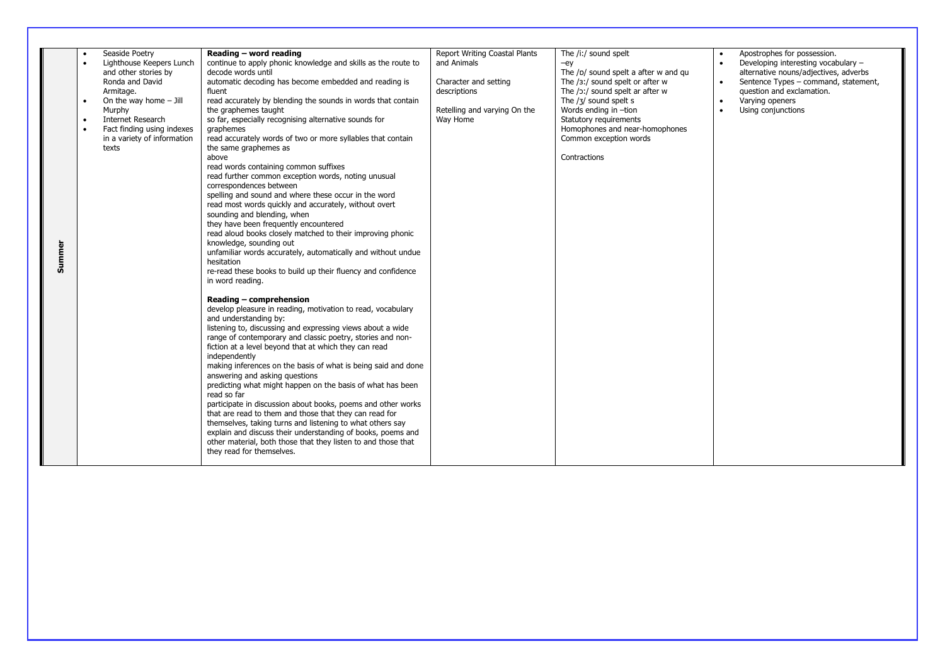| Summer | Seaside Poetry<br>Lighthouse Keepers Lunch<br>and other stories by<br>Ronda and David<br>Armitage.<br>On the way home $-$ Jill<br>$\bullet$<br>Murphy<br>Internet Research<br>$\bullet$<br>Fact finding using indexes<br>in a variety of information<br>texts | Reading - word reading<br>continue to apply phonic knowledge and skills as the route to<br>decode words until<br>automatic decoding has become embedded and reading is<br>fluent<br>read accurately by blending the sounds in words that contain<br>the graphemes taught<br>so far, especially recognising alternative sounds for<br>graphemes<br>read accurately words of two or more syllables that contain<br>the same graphemes as<br>above<br>read words containing common suffixes<br>read further common exception words, noting unusual<br>correspondences between<br>spelling and sound and where these occur in the word<br>read most words quickly and accurately, without overt<br>sounding and blending, when<br>they have been frequently encountered<br>read aloud books closely matched to their improving phonic<br>knowledge, sounding out<br>unfamiliar words accurately, automatically and without undue<br>hesitation<br>re-read these books to build up their fluency and confidence<br>in word reading.<br>Reading - comprehension<br>develop pleasure in reading, motivation to read, vocabulary<br>and understanding by:<br>listening to, discussing and expressing views about a wide<br>range of contemporary and classic poetry, stories and non-<br>fiction at a level beyond that at which they can read<br>independently<br>making inferences on the basis of what is being said and done<br>answering and asking questions<br>predicting what might happen on the basis of what has been<br>read so far<br>participate in discussion about books, poems and other works<br>that are read to them and those that they can read for<br>themselves, taking turns and listening to what others say<br>explain and discuss their understanding of books, poems and | Report Writing Coastal Plants<br>and Animals<br>Character and setting<br>descriptions<br>Retelling and varying On the<br>Way Home | The /i:/ sound spelt<br>$-eV$<br>The /p/ sound spelt a after w and gu<br>The $/3$ :/ sound spelt or after w<br>The $/$ $\sigma$ :/ sound spelt ar after w<br>The $/3/$ sound spelt s<br>Words ending in -tion<br>Statutory requirements<br>Homophones and near-homophones<br>Common exception words<br>Contractions | Apostrophes for possession.<br>$\bullet$<br>Developing interesting vocabulary -<br>$\bullet$<br>alternative nouns/adjectives, adverbs<br>Sentence Types - command, statement,<br>question and exclamation.<br>Varying openers<br>$\bullet$<br>$\bullet$<br>Using conjunctions |
|--------|---------------------------------------------------------------------------------------------------------------------------------------------------------------------------------------------------------------------------------------------------------------|-----------------------------------------------------------------------------------------------------------------------------------------------------------------------------------------------------------------------------------------------------------------------------------------------------------------------------------------------------------------------------------------------------------------------------------------------------------------------------------------------------------------------------------------------------------------------------------------------------------------------------------------------------------------------------------------------------------------------------------------------------------------------------------------------------------------------------------------------------------------------------------------------------------------------------------------------------------------------------------------------------------------------------------------------------------------------------------------------------------------------------------------------------------------------------------------------------------------------------------------------------------------------------------------------------------------------------------------------------------------------------------------------------------------------------------------------------------------------------------------------------------------------------------------------------------------------------------------------------------------------------------------------------------------------------------------------------------------------------------------------------------------------------------------------|-----------------------------------------------------------------------------------------------------------------------------------|---------------------------------------------------------------------------------------------------------------------------------------------------------------------------------------------------------------------------------------------------------------------------------------------------------------------|-------------------------------------------------------------------------------------------------------------------------------------------------------------------------------------------------------------------------------------------------------------------------------|
|        |                                                                                                                                                                                                                                                               | other material, both those that they listen to and those that<br>they read for themselves.                                                                                                                                                                                                                                                                                                                                                                                                                                                                                                                                                                                                                                                                                                                                                                                                                                                                                                                                                                                                                                                                                                                                                                                                                                                                                                                                                                                                                                                                                                                                                                                                                                                                                                    |                                                                                                                                   |                                                                                                                                                                                                                                                                                                                     |                                                                                                                                                                                                                                                                               |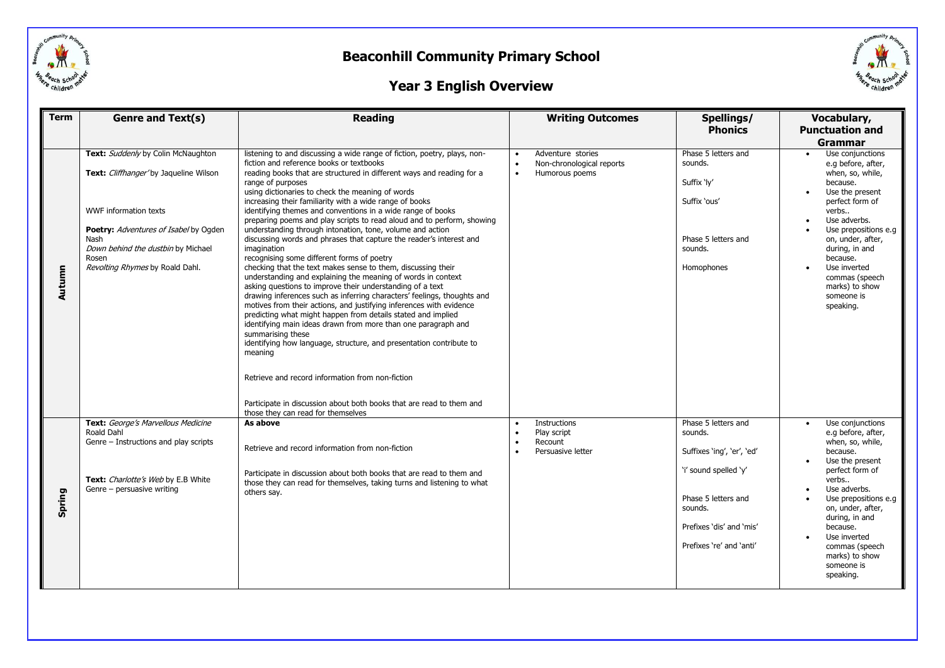

# Childre

### **Year 3 English Overview**

| <b>Term</b> | Genre and Text(s)<br><b>Reading</b>                                                                                                                                                                                                     |                                                                                                                                                                                                                                                                                                                                                                                                                                                                                                                                                                                                                                                                                                                                                                                                                                                                                                                                                                                                                                                                                                                                                                                                                                                                                                                                                                                                | <b>Writing Outcomes</b>                                                       | Spellings/<br><b>Phonics</b>                                                                                                                                                    | Vocabulary,<br><b>Punctuation and</b>                                                                                                                                                                                                                                                                         |
|-------------|-----------------------------------------------------------------------------------------------------------------------------------------------------------------------------------------------------------------------------------------|------------------------------------------------------------------------------------------------------------------------------------------------------------------------------------------------------------------------------------------------------------------------------------------------------------------------------------------------------------------------------------------------------------------------------------------------------------------------------------------------------------------------------------------------------------------------------------------------------------------------------------------------------------------------------------------------------------------------------------------------------------------------------------------------------------------------------------------------------------------------------------------------------------------------------------------------------------------------------------------------------------------------------------------------------------------------------------------------------------------------------------------------------------------------------------------------------------------------------------------------------------------------------------------------------------------------------------------------------------------------------------------------|-------------------------------------------------------------------------------|---------------------------------------------------------------------------------------------------------------------------------------------------------------------------------|---------------------------------------------------------------------------------------------------------------------------------------------------------------------------------------------------------------------------------------------------------------------------------------------------------------|
|             |                                                                                                                                                                                                                                         |                                                                                                                                                                                                                                                                                                                                                                                                                                                                                                                                                                                                                                                                                                                                                                                                                                                                                                                                                                                                                                                                                                                                                                                                                                                                                                                                                                                                |                                                                               |                                                                                                                                                                                 | <b>Grammar</b>                                                                                                                                                                                                                                                                                                |
| Autumn      | Text: Suddenly by Colin McNaughton<br>Text: Cliffhanger'by Jaqueline Wilson<br>WWF information texts<br>Poetry: Adventures of Isabel by Ogden<br>Nash<br>Down behind the dustbin by Michael<br>Rosen<br>Revolting Rhymes by Roald Dahl. | listening to and discussing a wide range of fiction, poetry, plays, non-<br>fiction and reference books or textbooks<br>reading books that are structured in different ways and reading for a<br>range of purposes<br>using dictionaries to check the meaning of words<br>increasing their familiarity with a wide range of books<br>identifying themes and conventions in a wide range of books<br>preparing poems and play scripts to read aloud and to perform, showing<br>understanding through intonation, tone, volume and action<br>discussing words and phrases that capture the reader's interest and<br>imagination<br>recognising some different forms of poetry<br>checking that the text makes sense to them, discussing their<br>understanding and explaining the meaning of words in context<br>asking questions to improve their understanding of a text<br>drawing inferences such as inferring characters' feelings, thoughts and<br>motives from their actions, and justifying inferences with evidence<br>predicting what might happen from details stated and implied<br>identifying main ideas drawn from more than one paragraph and<br>summarising these<br>identifying how language, structure, and presentation contribute to<br>meaning<br>Retrieve and record information from non-fiction<br>Participate in discussion about both books that are read to them and | Adventure stories<br>Non-chronological reports<br>Humorous poems<br>$\bullet$ | Phase 5 letters and<br>sounds.<br>Suffix 'ly'<br>Suffix 'ous'<br>Phase 5 letters and<br>sounds.<br>Homophones                                                                   | Use conjunctions<br>$\bullet$<br>e.g before, after,<br>when, so, while,<br>because.<br>Use the present<br>perfect form of<br>verbs<br>Use adverbs.<br>Use prepositions e.g.<br>on, under, after,<br>during, in and<br>because.<br>Use inverted<br>commas (speech<br>marks) to show<br>someone is<br>speaking. |
| Spring      | Text: George's Marvellous Medicine<br>Roald Dahl<br>Genre - Instructions and play scripts<br>Text: <i>Charlotte's Web</i> by E.B White<br>Genre - persuasive writing                                                                    | those they can read for themselves<br>As above<br>Retrieve and record information from non-fiction<br>Participate in discussion about both books that are read to them and<br>those they can read for themselves, taking turns and listening to what<br>others say.                                                                                                                                                                                                                                                                                                                                                                                                                                                                                                                                                                                                                                                                                                                                                                                                                                                                                                                                                                                                                                                                                                                            | Instructions<br>Play script<br>Recount<br>$\bullet$<br>Persuasive letter      | Phase 5 letters and<br>sounds.<br>Suffixes 'ing', 'er', 'ed'<br>'i' sound spelled 'y'<br>Phase 5 letters and<br>sounds.<br>Prefixes 'dis' and 'mis'<br>Prefixes 're' and 'anti' | Use conjunctions<br>e.g before, after,<br>when, so, while,<br>because.<br>Use the present<br>perfect form of<br>verbs<br>Use adverbs.<br>Use prepositions e.g.<br>on, under, after,<br>during, in and<br>because.<br>Use inverted<br>commas (speech<br>marks) to show<br>someone is<br>speaking.              |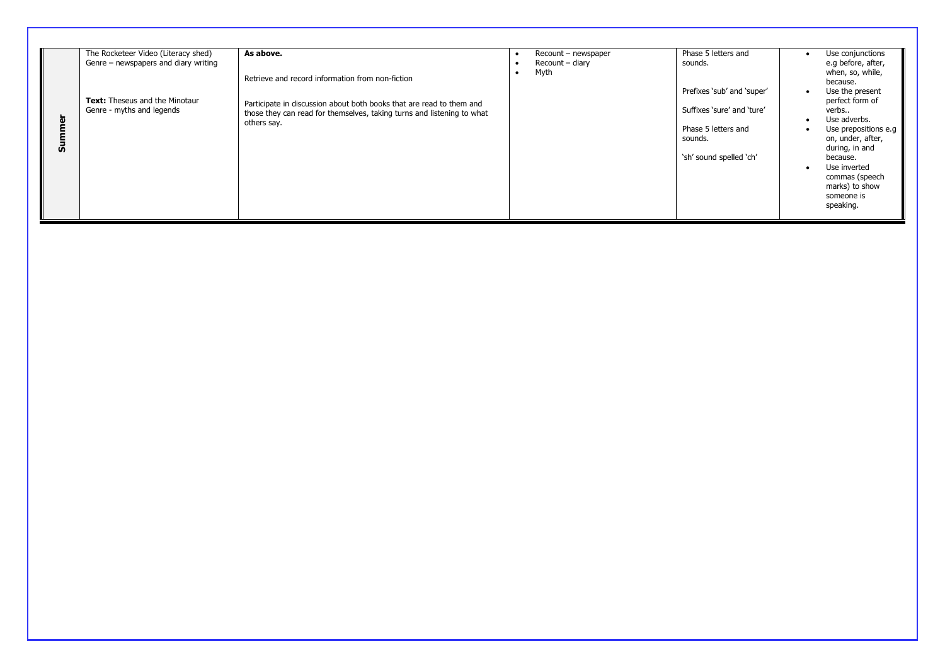| As above.<br>The Rocketeer Video (Literacy shed)<br>Genre - newspapers and diary writing<br>Retrieve and record information from non-fiction<br><b>Text:</b> Theseus and the Minotaur<br>Participate in discussion about both books that are read to them and<br>Genre - myths and legends<br>those they can read for themselves, taking turns and listening to what<br>ω<br>others say.<br>ā | Recount - newspaper<br>Recount - diary<br>Myth | Phase 5 letters and<br>sounds.<br>Prefixes 'sub' and 'super'<br>Suffixes 'sure' and 'ture'<br>Phase 5 letters and<br>sounds.<br>'sh' sound spelled 'ch' | Use conjunctions<br>e.g before, after,<br>when, so, while,<br>because.<br>Use the present<br>perfect form of<br>verbs<br>Use adverbs.<br>Use prepositions e.g<br>on, under, after,<br>during, in and<br>because.<br>Use inverted<br>commas (speech<br>marks) to show<br>someone is<br>speaking. |
|-----------------------------------------------------------------------------------------------------------------------------------------------------------------------------------------------------------------------------------------------------------------------------------------------------------------------------------------------------------------------------------------------|------------------------------------------------|---------------------------------------------------------------------------------------------------------------------------------------------------------|-------------------------------------------------------------------------------------------------------------------------------------------------------------------------------------------------------------------------------------------------------------------------------------------------|
|-----------------------------------------------------------------------------------------------------------------------------------------------------------------------------------------------------------------------------------------------------------------------------------------------------------------------------------------------------------------------------------------------|------------------------------------------------|---------------------------------------------------------------------------------------------------------------------------------------------------------|-------------------------------------------------------------------------------------------------------------------------------------------------------------------------------------------------------------------------------------------------------------------------------------------------|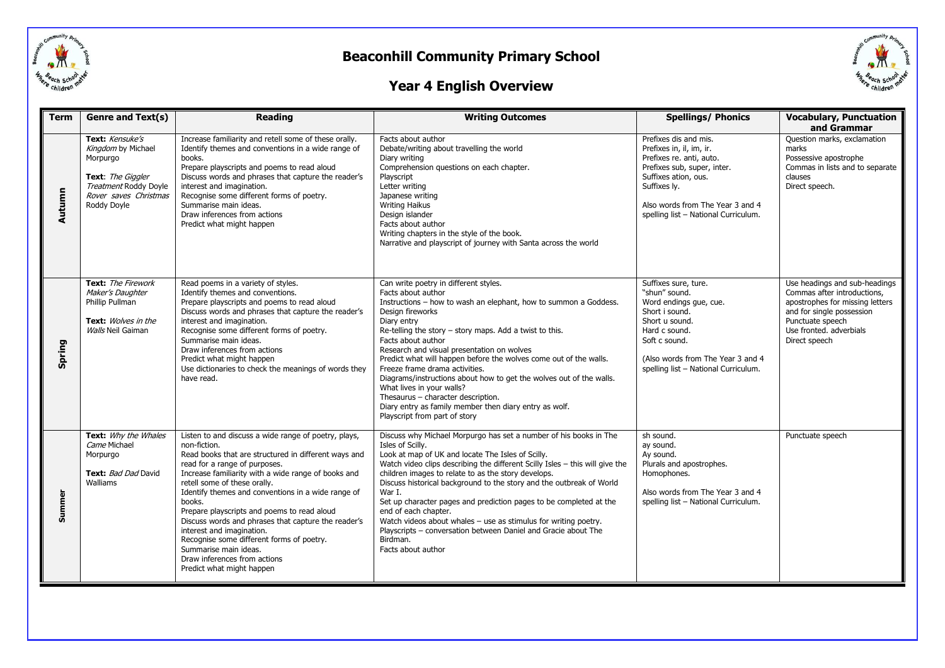



### **Year 4 English Overview**

| <b>Term</b> | <b>Genre and Text(s)</b>                                                                                                                | <b>Reading</b>                                                                                                                                                                                                                                                                                                                                                                                                                                                                                                                                                                             | <b>Writing Outcomes</b>                                                                                                                                                                                                                                                                                                                                                                                                                                                                                                                                                                                                                       | <b>Spellings/ Phonics</b>                                                                                                                                                                                                        | <b>Vocabulary, Punctuation</b><br>and Grammar                                                                                                                                                |
|-------------|-----------------------------------------------------------------------------------------------------------------------------------------|--------------------------------------------------------------------------------------------------------------------------------------------------------------------------------------------------------------------------------------------------------------------------------------------------------------------------------------------------------------------------------------------------------------------------------------------------------------------------------------------------------------------------------------------------------------------------------------------|-----------------------------------------------------------------------------------------------------------------------------------------------------------------------------------------------------------------------------------------------------------------------------------------------------------------------------------------------------------------------------------------------------------------------------------------------------------------------------------------------------------------------------------------------------------------------------------------------------------------------------------------------|----------------------------------------------------------------------------------------------------------------------------------------------------------------------------------------------------------------------------------|----------------------------------------------------------------------------------------------------------------------------------------------------------------------------------------------|
| Autumn      | Text: Kensuke's<br>Kingdom by Michael<br>Morpurgo<br>Text: The Giggler<br>Treatment Roddy Doyle<br>Rover saves Christmas<br>Roddy Doyle | Increase familiarity and retell some of these orally.<br>Identify themes and conventions in a wide range of<br>books.<br>Prepare playscripts and poems to read aloud<br>Discuss words and phrases that capture the reader's<br>interest and imagination.<br>Recognise some different forms of poetry.<br>Summarise main ideas.<br>Draw inferences from actions<br>Predict what might happen                                                                                                                                                                                                | Facts about author<br>Debate/writing about travelling the world<br>Diary writing<br>Comprehension questions on each chapter.<br>Playscript<br>Letter writing<br>Japanese writing<br><b>Writing Haikus</b><br>Design islander<br>Facts about author<br>Writing chapters in the style of the book.<br>Narrative and playscript of journey with Santa across the world                                                                                                                                                                                                                                                                           | Prefixes dis and mis.<br>Prefixes in, il, im, ir.<br>Prefixes re. anti, auto.<br>Prefixes sub, super, inter.<br>Suffixes ation, ous.<br>Suffixes ly.<br>Also words from The Year 3 and 4<br>spelling list - National Curriculum. | Question marks, exclamation<br>marks<br>Possessive apostrophe<br>Commas in lists and to separate<br>clauses<br>Direct speech.                                                                |
| Spring      | Text: The Firework<br>Maker's Daughter<br>Phillip Pullman<br>Text: Wolves in the<br>Walls Neil Gaiman                                   | Read poems in a variety of styles.<br>Identify themes and conventions.<br>Prepare playscripts and poems to read aloud<br>Discuss words and phrases that capture the reader's<br>interest and imagination.<br>Recognise some different forms of poetry.<br>Summarise main ideas.<br>Draw inferences from actions<br>Predict what might happen<br>Use dictionaries to check the meanings of words they<br>have read.                                                                                                                                                                         | Can write poetry in different styles.<br>Facts about author<br>Instructions - how to wash an elephant, how to summon a Goddess.<br>Design fireworks<br>Diary entry<br>Re-telling the story - story maps. Add a twist to this.<br>Facts about author<br>Research and visual presentation on wolves<br>Predict what will happen before the wolves come out of the walls.<br>Freeze frame drama activities.<br>Diagrams/instructions about how to get the wolves out of the walls.<br>What lives in your walls?<br>Thesaurus - character description.<br>Diary entry as family member then diary entry as wolf.<br>Playscript from part of story | Suffixes sure, ture.<br>"shun" sound.<br>Word endings que, cue.<br>Short i sound.<br>Short u sound.<br>Hard c sound.<br>Soft c sound.<br>(Also words from The Year 3 and 4<br>spelling list - National Curriculum.               | Use headings and sub-headings<br>Commas after introductions,<br>apostrophes for missing letters<br>and for single possession<br>Punctuate speech<br>Use fronted. adverbials<br>Direct speech |
| Summer      | Text: Why the Whales<br>Came Michael<br>Morpurgo<br>Text: Bad Dad David<br>Walliams                                                     | Listen to and discuss a wide range of poetry, plays,<br>non-fiction.<br>Read books that are structured in different ways and<br>read for a range of purposes.<br>Increase familiarity with a wide range of books and<br>retell some of these orally.<br>Identify themes and conventions in a wide range of<br>books.<br>Prepare playscripts and poems to read aloud<br>Discuss words and phrases that capture the reader's<br>interest and imagination.<br>Recognise some different forms of poetry.<br>Summarise main ideas.<br>Draw inferences from actions<br>Predict what might happen | Discuss why Michael Morpurgo has set a number of his books in The<br>Isles of Scilly.<br>Look at map of UK and locate The Isles of Scilly.<br>Watch video clips describing the different Scilly Isles - this will give the<br>children images to relate to as the story develops.<br>Discuss historical background to the story and the outbreak of World<br>War I.<br>Set up character pages and prediction pages to be completed at the<br>end of each chapter.<br>Watch videos about whales - use as stimulus for writing poetry.<br>Playscripts - conversation between Daniel and Gracie about The<br>Birdman.<br>Facts about author      | sh sound.<br>ay sound.<br>Ay sound.<br>Plurals and apostrophes.<br>Homophones.<br>Also words from The Year 3 and 4<br>spelling list - National Curriculum.                                                                       | Punctuate speech                                                                                                                                                                             |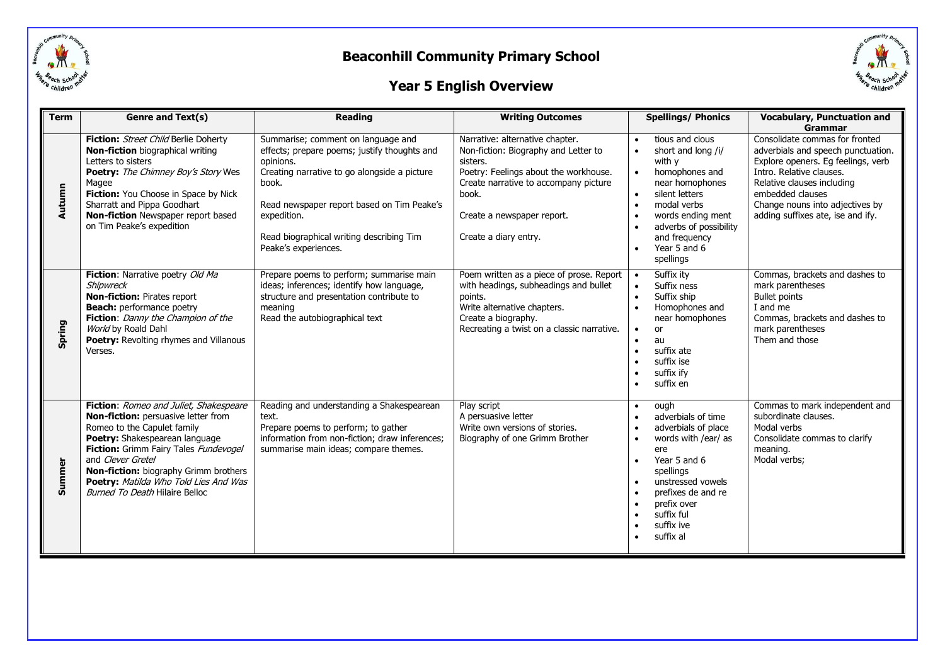

# Childre

### **Year 5 English Overview**

| <b>Term</b> | Genre and Text(s)                                                                                                                                                                                                                                                                                                                       | <b>Reading</b>                                                                                                                                                                                                                                                                            | <b>Writing Outcomes</b>                                                                                                                                                                                                               | <b>Spellings/ Phonics</b>                                                                                                                                                                                                                                           | <b>Vocabulary, Punctuation and</b><br>Grammar                                                                                                                                                                                                                    |
|-------------|-----------------------------------------------------------------------------------------------------------------------------------------------------------------------------------------------------------------------------------------------------------------------------------------------------------------------------------------|-------------------------------------------------------------------------------------------------------------------------------------------------------------------------------------------------------------------------------------------------------------------------------------------|---------------------------------------------------------------------------------------------------------------------------------------------------------------------------------------------------------------------------------------|---------------------------------------------------------------------------------------------------------------------------------------------------------------------------------------------------------------------------------------------------------------------|------------------------------------------------------------------------------------------------------------------------------------------------------------------------------------------------------------------------------------------------------------------|
| Autumn      | Fiction: Street Child Berlie Doherty<br><b>Non-fiction</b> biographical writing<br>Letters to sisters<br>Poetry: The Chimney Boy's Story Wes<br>Magee<br>Fiction: You Choose in Space by Nick<br>Sharratt and Pippa Goodhart<br><b>Non-fiction</b> Newspaper report based<br>on Tim Peake's expedition                                  | Summarise; comment on language and<br>effects; prepare poems; justify thoughts and<br>opinions.<br>Creating narrative to go alongside a picture<br>book.<br>Read newspaper report based on Tim Peake's<br>expedition.<br>Read biographical writing describing Tim<br>Peake's experiences. | Narrative: alternative chapter.<br>Non-fiction: Biography and Letter to<br>sisters.<br>Poetry: Feelings about the workhouse.<br>Create narrative to accompany picture<br>book.<br>Create a newspaper report.<br>Create a diary entry. | tious and cious<br>short and long /i/<br>$\bullet$<br>with y<br>homophones and<br>near homophones<br>silent letters<br>modal verbs<br>$\bullet$<br>words ending ment<br>adverbs of possibility<br>and frequency<br>Year 5 and 6<br>spellings                        | Consolidate commas for fronted<br>adverbials and speech punctuation.<br>Explore openers. Eg feelings, verb<br>Intro. Relative clauses.<br>Relative clauses including<br>embedded clauses<br>Change nouns into adjectives by<br>adding suffixes ate, ise and ify. |
| Spring      | Fiction: Narrative poetry Old Ma<br>Shipwreck<br><b>Non-fiction: Pirates report</b><br><b>Beach:</b> performance poetry<br>Fiction: Danny the Champion of the<br>World by Roald Dahl<br>Poetry: Revolting rhymes and Villanous<br>Verses.                                                                                               | Prepare poems to perform; summarise main<br>ideas; inferences; identify how language,<br>structure and presentation contribute to<br>meaning<br>Read the autobiographical text                                                                                                            | Poem written as a piece of prose. Report<br>with headings, subheadings and bullet<br>points.<br>Write alternative chapters.<br>Create a biography.<br>Recreating a twist on a classic narrative.                                      | Suffix ity<br>Suffix ness<br>$\bullet$<br>Suffix ship<br>$\bullet$<br>Homophones and<br>near homophones<br>or<br>au<br>$\bullet$<br>suffix ate<br>$\bullet$<br>suffix ise<br>suffix ify<br>$\bullet$<br>suffix en                                                   | Commas, brackets and dashes to<br>mark parentheses<br><b>Bullet points</b><br>I and me<br>Commas, brackets and dashes to<br>mark parentheses<br>Them and those                                                                                                   |
| Summer      | Fiction: Romeo and Juliet, Shakespeare<br>Non-fiction: persuasive letter from<br>Romeo to the Capulet family<br>Poetry: Shakespearean language<br>Fiction: Grimm Fairy Tales Fundevogel<br>and Clever Gretel<br>Non-fiction: biography Grimm brothers<br>Poetry: Matilda Who Told Lies And Was<br><b>Burned To Death Hilaire Belloc</b> | Reading and understanding a Shakespearean<br>text.<br>Prepare poems to perform; to gather<br>information from non-fiction; draw inferences;<br>summarise main ideas; compare themes.                                                                                                      | Play script<br>A persuasive letter<br>Write own versions of stories.<br>Biography of one Grimm Brother                                                                                                                                | ough<br>$\bullet$<br>adverbials of time<br>$\bullet$<br>adverbials of place<br>words with /ear/ as<br>$\bullet$<br>ere<br>Year 5 and 6<br>$\bullet$<br>spellings<br>unstressed vowels<br>prefixes de and re<br>prefix over<br>suffix ful<br>suffix ive<br>suffix al | Commas to mark independent and<br>subordinate clauses.<br>Modal verbs<br>Consolidate commas to clarify<br>meaning.<br>Modal verbs;                                                                                                                               |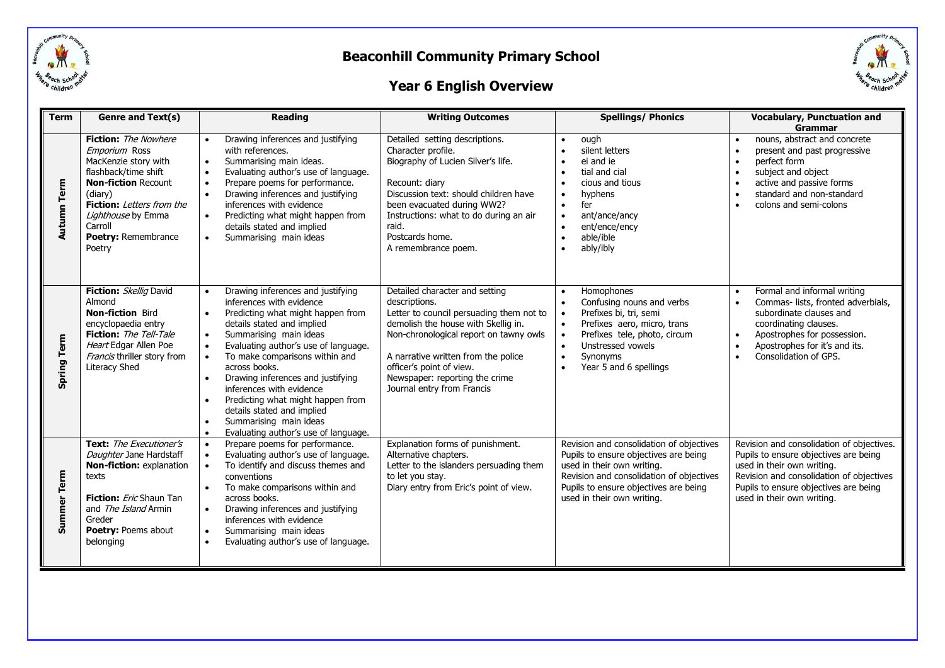

### **Year 6 English Overview**



| <b>Term</b>        | Genre and Text(s)                                                                                                                                                                                                                                  | <b>Reading</b>                                                                                                                                                                                                                                                                                                                                                                                                                                                                                                                                                                   | <b>Writing Outcomes</b>                                                                                                                                                                                                                                                                                         | <b>Spellings/ Phonics</b>                                                                                                                                                                                                          | <b>Vocabulary, Punctuation and</b>                                                                                                                                                                                                                    |  |
|--------------------|----------------------------------------------------------------------------------------------------------------------------------------------------------------------------------------------------------------------------------------------------|----------------------------------------------------------------------------------------------------------------------------------------------------------------------------------------------------------------------------------------------------------------------------------------------------------------------------------------------------------------------------------------------------------------------------------------------------------------------------------------------------------------------------------------------------------------------------------|-----------------------------------------------------------------------------------------------------------------------------------------------------------------------------------------------------------------------------------------------------------------------------------------------------------------|------------------------------------------------------------------------------------------------------------------------------------------------------------------------------------------------------------------------------------|-------------------------------------------------------------------------------------------------------------------------------------------------------------------------------------------------------------------------------------------------------|--|
| <b>Autumn Term</b> | <b>Fiction:</b> The Nowhere<br>Emporium Ross<br>MacKenzie story with<br>flashback/time shift<br><b>Non-fiction Recount</b><br>(diary)<br><b>Fiction:</b> Letters from the<br>Lighthouse by Emma<br>Carroll<br><b>Poetry: Remembrance</b><br>Poetry | Drawing inferences and justifying<br>$\bullet$<br>with references.<br>Summarising main ideas.<br>$\bullet$<br>Evaluating author's use of language.<br>$\bullet$<br>Prepare poems for performance.<br>$\bullet$<br>Drawing inferences and justifying<br>$\bullet$<br>inferences with evidence<br>Predicting what might happen from<br>$\bullet$<br>details stated and implied<br>Summarising main ideas<br>$\bullet$                                                                                                                                                              | Detailed setting descriptions.<br>Character profile.<br>Biography of Lucien Silver's life.<br>Recount: diary<br>Discussion text: should children have<br>been evacuated during WW2?<br>Instructions: what to do during an air<br>raid.<br>Postcards home.<br>A remembrance poem.                                | ough<br>$\bullet$<br>silent letters<br>ei and ie<br>$\bullet$<br>tial and cial<br>cious and tious<br>hyphens<br>fer<br>$\bullet$<br>ant/ance/ancy<br>$\bullet$<br>ent/ence/ency<br>able/ible<br>$\bullet$<br>ably/ibly             | Grammar<br>nouns, abstract and concrete<br>$\bullet$<br>present and past progressive<br>perfect form<br>subject and object<br>active and passive forms<br>$\bullet$<br>standard and non-standard<br>$\bullet$<br>colons and semi-colons               |  |
| <b>Spring Term</b> | Fiction: Skellig David<br>Almond<br><b>Non-fiction Bird</b><br>encyclopaedia entry<br><b>Fiction:</b> The Tell-Tale<br>Heart Edgar Allen Poe<br>Francis thriller story from<br><b>Literacy Shed</b>                                                | Drawing inferences and justifying<br>$\bullet$<br>inferences with evidence<br>Predicting what might happen from<br>$\bullet$<br>details stated and implied<br>Summarising main ideas<br>$\bullet$<br>Evaluating author's use of language.<br>$\bullet$<br>To make comparisons within and<br>$\bullet$<br>across books.<br>Drawing inferences and justifying<br>$\bullet$<br>inferences with evidence<br>Predicting what might happen from<br>$\bullet$<br>details stated and implied<br>Summarising main ideas<br>$\bullet$<br>Evaluating author's use of language.<br>$\bullet$ | Detailed character and setting<br>descriptions.<br>Letter to council persuading them not to<br>demolish the house with Skellig in.<br>Non-chronological report on tawny owls<br>A narrative written from the police<br>officer's point of view.<br>Newspaper: reporting the crime<br>Journal entry from Francis | Homophones<br>$\bullet$<br>Confusing nouns and verbs<br>Prefixes bi, tri, semi<br>Prefixes aero, micro, trans<br>Prefixes tele, photo, circum<br>Unstressed vowels<br>Synonyms<br>$\bullet$<br>Year 5 and 6 spellings              | Formal and informal writing<br>$\bullet$<br>Commas- lists, fronted adverbials,<br>$\bullet$<br>subordinate clauses and<br>coordinating clauses.<br>Apostrophes for possession.<br>$\bullet$<br>Apostrophes for it's and its.<br>Consolidation of GPS. |  |
| Term<br>Summer     | Text: The Executioner's<br>Daughter Jane Hardstaff<br>Non-fiction: explanation<br>texts<br><b>Fiction:</b> <i>Eric</i> Shaun Tan<br>and The Island Armin<br>Greder<br><b>Poetry: Poems about</b><br>belonging                                      | Prepare poems for performance.<br>$\bullet$<br>Evaluating author's use of language.<br>$\bullet$<br>To identify and discuss themes and<br>$\bullet$<br>conventions<br>To make comparisons within and<br>$\bullet$<br>across books.<br>Drawing inferences and justifying<br>$\bullet$<br>inferences with evidence<br>Summarising main ideas<br>$\bullet$<br>Evaluating author's use of language.<br>$\bullet$                                                                                                                                                                     | Explanation forms of punishment.<br>Alternative chapters.<br>Letter to the islanders persuading them<br>to let you stay.<br>Diary entry from Eric's point of view.                                                                                                                                              | Revision and consolidation of objectives<br>Pupils to ensure objectives are being<br>used in their own writing.<br>Revision and consolidation of objectives<br>Pupils to ensure objectives are being<br>used in their own writing. | Revision and consolidation of objectives.<br>Pupils to ensure objectives are being<br>used in their own writing.<br>Revision and consolidation of objectives<br>Pupils to ensure objectives are being<br>used in their own writing.                   |  |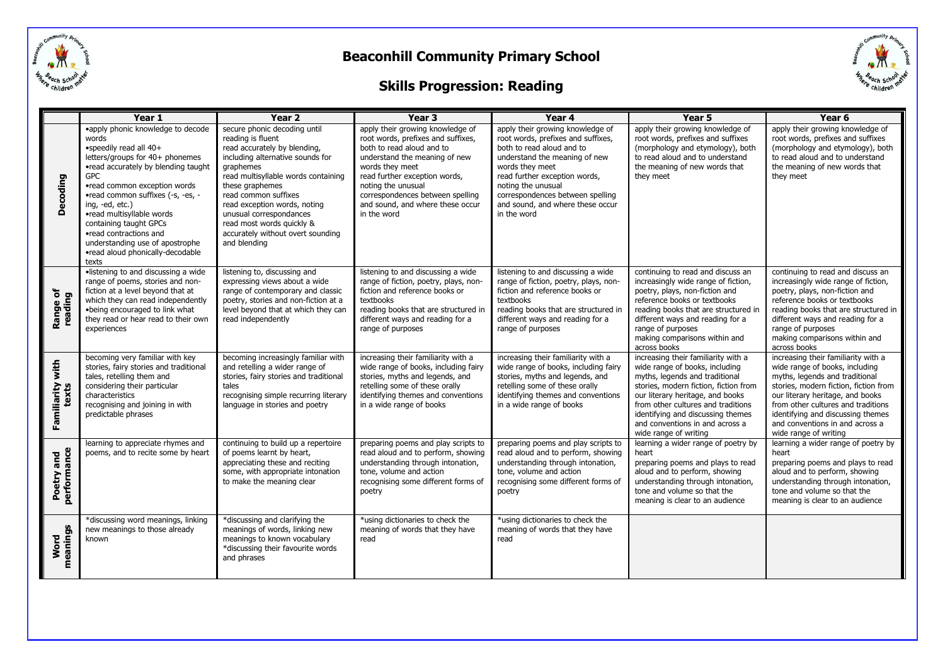

### **Skills Progression: Reading**



|                           | Year 1                                                                                                                                                                                                                                                                                                                                                                                                                | Year 2                                                                                                                                                                                                                                                                                                                                                                   | Year 3                                                                                                                                                                                                                                                                                                | Year 4                                                                                                                                                                                                                                                                                                | Year 5                                                                                                                                                                                                                                                                                                                      | Year 6                                                                                                                                                                                                                                                                                                                      |
|---------------------------|-----------------------------------------------------------------------------------------------------------------------------------------------------------------------------------------------------------------------------------------------------------------------------------------------------------------------------------------------------------------------------------------------------------------------|--------------------------------------------------------------------------------------------------------------------------------------------------------------------------------------------------------------------------------------------------------------------------------------------------------------------------------------------------------------------------|-------------------------------------------------------------------------------------------------------------------------------------------------------------------------------------------------------------------------------------------------------------------------------------------------------|-------------------------------------------------------------------------------------------------------------------------------------------------------------------------------------------------------------------------------------------------------------------------------------------------------|-----------------------------------------------------------------------------------------------------------------------------------------------------------------------------------------------------------------------------------------------------------------------------------------------------------------------------|-----------------------------------------------------------------------------------------------------------------------------------------------------------------------------------------------------------------------------------------------------------------------------------------------------------------------------|
| Decoding                  | •apply phonic knowledge to decode<br>words<br>•speedily read all 40+<br>letters/groups for 40+ phonemes<br>•read accurately by blending taught<br><b>GPC</b><br>•read common exception words<br>•read common suffixes (-s, -es, -<br>ing, -ed, etc.)<br>•read multisyllable words<br>containing taught GPCs<br>•read contractions and<br>understanding use of apostrophe<br>•read aloud phonically-decodable<br>texts | secure phonic decoding until<br>reading is fluent<br>read accurately by blending,<br>including alternative sounds for<br><i>araphemes</i><br>read multisyllable words containing<br>these araphemes<br>read common suffixes<br>read exception words, noting<br>unusual correspondances<br>read most words quickly &<br>accurately without overt sounding<br>and blending | apply their growing knowledge of<br>root words, prefixes and suffixes,<br>both to read aloud and to<br>understand the meaning of new<br>words they meet<br>read further exception words,<br>noting the unusual<br>correspondences between spelling<br>and sound, and where these occur<br>in the word | apply their growing knowledge of<br>root words, prefixes and suffixes,<br>both to read aloud and to<br>understand the meaning of new<br>words they meet<br>read further exception words,<br>noting the unusual<br>correspondences between spelling<br>and sound, and where these occur<br>in the word | apply their growing knowledge of<br>root words, prefixes and suffixes<br>(morphology and etymology), both<br>to read aloud and to understand<br>the meaning of new words that<br>they meet                                                                                                                                  | apply their growing knowledge of<br>root words, prefixes and suffixes<br>(morphology and etymology), both<br>to read aloud and to understand<br>the meaning of new words that<br>they meet                                                                                                                                  |
| Range of<br>reading       | ·listening to and discussing a wide<br>range of poems, stories and non-<br>fiction at a level beyond that at<br>which they can read independently<br>.being encouraged to link what<br>they read or hear read to their own<br>experiences                                                                                                                                                                             | listening to, discussing and<br>expressing views about a wide<br>range of contemporary and classic<br>poetry, stories and non-fiction at a<br>level beyond that at which they can<br>read independently                                                                                                                                                                  | listening to and discussing a wide<br>range of fiction, poetry, plays, non-<br>fiction and reference books or<br>textbooks<br>reading books that are structured in<br>different ways and reading for a<br>range of purposes                                                                           | listening to and discussing a wide<br>range of fiction, poetry, plays, non-<br>fiction and reference books or<br>textbooks<br>reading books that are structured in<br>different ways and reading for a<br>range of purposes                                                                           | continuing to read and discuss an<br>increasingly wide range of fiction,<br>poetry, plays, non-fiction and<br>reference books or textbooks<br>reading books that are structured in<br>different ways and reading for a<br>range of purposes<br>making comparisons within and<br>across books                                | continuing to read and discuss an<br>increasingly wide range of fiction,<br>poetry, plays, non-fiction and<br>reference books or textbooks<br>reading books that are structured in<br>different ways and reading for a<br>range of purposes<br>making comparisons within and<br>across books                                |
| Familiarity with<br>texts | becoming very familiar with key<br>stories, fairy stories and traditional<br>tales, retelling them and<br>considering their particular<br>characteristics<br>recognising and joining in with<br>predictable phrases                                                                                                                                                                                                   | becoming increasingly familiar with<br>and retelling a wider range of<br>stories, fairy stories and traditional<br>tales<br>recognising simple recurring literary<br>language in stories and poetry                                                                                                                                                                      | increasing their familiarity with a<br>wide range of books, including fairy<br>stories, myths and legends, and<br>retelling some of these orally<br>identifying themes and conventions<br>in a wide range of books                                                                                    | increasing their familiarity with a<br>wide range of books, including fairy<br>stories, myths and legends, and<br>retelling some of these orally<br>identifying themes and conventions<br>in a wide range of books                                                                                    | increasing their familiarity with a<br>wide range of books, including<br>myths, legends and traditional<br>stories, modern fiction, fiction from<br>our literary heritage, and books<br>from other cultures and traditions<br>identifying and discussing themes<br>and conventions in and across a<br>wide range of writing | increasing their familiarity with a<br>wide range of books, including<br>myths, legends and traditional<br>stories, modern fiction, fiction from<br>our literary heritage, and books<br>from other cultures and traditions<br>identifying and discussing themes<br>and conventions in and across a<br>wide range of writing |
| performance<br>Poetry and | learning to appreciate rhymes and<br>poems, and to recite some by heart                                                                                                                                                                                                                                                                                                                                               | continuing to build up a repertoire<br>of poems learnt by heart,<br>appreciating these and reciting<br>some, with appropriate intonation<br>to make the meaning clear                                                                                                                                                                                                    | preparing poems and play scripts to<br>read aloud and to perform, showing<br>understanding through intonation,<br>tone, volume and action<br>recognising some different forms of<br>poetry                                                                                                            | preparing poems and play scripts to<br>read aloud and to perform, showing<br>understanding through intonation,<br>tone, volume and action<br>recognising some different forms of<br>poetry                                                                                                            | learning a wider range of poetry by<br>heart<br>preparing poems and plays to read<br>aloud and to perform, showing<br>understanding through intonation,<br>tone and volume so that the<br>meaning is clear to an audience                                                                                                   | learning a wider range of poetry by<br>heart<br>preparing poems and plays to read<br>aloud and to perform, showing<br>understanding through intonation,<br>tone and volume so that the<br>meaning is clear to an audience                                                                                                   |
| meanings<br>Word          | *discussing word meanings, linking<br>new meanings to those already<br>known                                                                                                                                                                                                                                                                                                                                          | *discussing and clarifying the<br>meanings of words, linking new<br>meanings to known vocabulary<br>*discussing their favourite words<br>and phrases                                                                                                                                                                                                                     | *using dictionaries to check the<br>meaning of words that they have<br>read                                                                                                                                                                                                                           | *using dictionaries to check the<br>meaning of words that they have<br>read                                                                                                                                                                                                                           |                                                                                                                                                                                                                                                                                                                             |                                                                                                                                                                                                                                                                                                                             |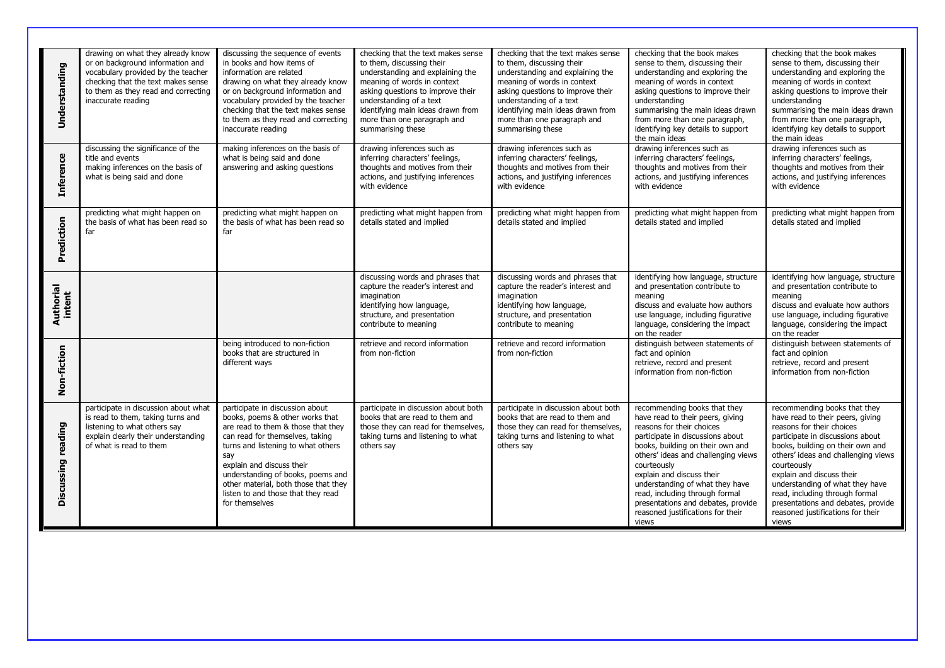| Understanding       | drawing on what they already know<br>or on background information and<br>vocabulary provided by the teacher<br>checking that the text makes sense<br>to them as they read and correcting<br>inaccurate reading | discussing the sequence of events<br>in books and how items of<br>information are related<br>drawing on what they already know<br>or on background information and<br>vocabulary provided by the teacher<br>checking that the text makes sense<br>to them as they read and correcting<br>inaccurate reading                                                | checking that the text makes sense<br>to them, discussing their<br>understanding and explaining the<br>meaning of words in context<br>asking questions to improve their<br>understanding of a text<br>identifying main ideas drawn from<br>more than one paragraph and<br>summarising these | checking that the text makes sense<br>to them, discussing their<br>understanding and explaining the<br>meaning of words in context<br>asking questions to improve their<br>understanding of a text<br>identifying main ideas drawn from<br>more than one paragraph and<br>summarising these | checking that the book makes<br>sense to them, discussing their<br>understanding and exploring the<br>meaning of words in context<br>asking questions to improve their<br>understanding<br>summarising the main ideas drawn<br>from more than one paragraph,<br>identifying key details to support<br>the main ideas                                                                                              | checking that the book makes<br>sense to them, discussing their<br>understanding and exploring the<br>meaning of words in context<br>asking questions to improve their<br>understanding<br>summarising the main ideas drawn<br>from more than one paragraph,<br>identifying key details to support<br>the main ideas                                                                                              |
|---------------------|----------------------------------------------------------------------------------------------------------------------------------------------------------------------------------------------------------------|------------------------------------------------------------------------------------------------------------------------------------------------------------------------------------------------------------------------------------------------------------------------------------------------------------------------------------------------------------|---------------------------------------------------------------------------------------------------------------------------------------------------------------------------------------------------------------------------------------------------------------------------------------------|---------------------------------------------------------------------------------------------------------------------------------------------------------------------------------------------------------------------------------------------------------------------------------------------|-------------------------------------------------------------------------------------------------------------------------------------------------------------------------------------------------------------------------------------------------------------------------------------------------------------------------------------------------------------------------------------------------------------------|-------------------------------------------------------------------------------------------------------------------------------------------------------------------------------------------------------------------------------------------------------------------------------------------------------------------------------------------------------------------------------------------------------------------|
| <b>Inference</b>    | discussing the significance of the<br>title and events<br>making inferences on the basis of<br>what is being said and done                                                                                     | making inferences on the basis of<br>what is being said and done<br>answering and asking questions                                                                                                                                                                                                                                                         | drawing inferences such as<br>inferring characters' feelings,<br>thoughts and motives from their<br>actions, and justifying inferences<br>with evidence                                                                                                                                     | drawing inferences such as<br>inferring characters' feelings,<br>thoughts and motives from their<br>actions, and justifying inferences<br>with evidence                                                                                                                                     | drawing inferences such as<br>inferring characters' feelings,<br>thoughts and motives from their<br>actions, and justifying inferences<br>with evidence                                                                                                                                                                                                                                                           | drawing inferences such as<br>inferring characters' feelings,<br>thoughts and motives from their<br>actions, and justifying inferences<br>with evidence                                                                                                                                                                                                                                                           |
| Prediction          | predicting what might happen on<br>the basis of what has been read so<br>far                                                                                                                                   | predicting what might happen on<br>the basis of what has been read so<br>far                                                                                                                                                                                                                                                                               | predicting what might happen from<br>details stated and implied                                                                                                                                                                                                                             | predicting what might happen from<br>details stated and implied                                                                                                                                                                                                                             | predicting what might happen from<br>details stated and implied                                                                                                                                                                                                                                                                                                                                                   | predicting what might happen from<br>details stated and implied                                                                                                                                                                                                                                                                                                                                                   |
| Authorial<br>intent |                                                                                                                                                                                                                |                                                                                                                                                                                                                                                                                                                                                            | discussing words and phrases that<br>capture the reader's interest and<br>imagination<br>identifying how language,<br>structure, and presentation<br>contribute to meaning                                                                                                                  | discussing words and phrases that<br>capture the reader's interest and<br>imagination<br>identifying how language,<br>structure, and presentation<br>contribute to meaning                                                                                                                  | identifying how language, structure<br>and presentation contribute to<br>meaning<br>discuss and evaluate how authors<br>use language, including figurative<br>language, considering the impact<br>on the reader                                                                                                                                                                                                   | identifying how language, structure<br>and presentation contribute to<br>meaning<br>discuss and evaluate how authors<br>use language, including figurative<br>language, considering the impact<br>on the reader                                                                                                                                                                                                   |
| Non-fiction         |                                                                                                                                                                                                                | being introduced to non-fiction<br>books that are structured in<br>different ways                                                                                                                                                                                                                                                                          | retrieve and record information<br>from non-fiction                                                                                                                                                                                                                                         | retrieve and record information<br>from non-fiction                                                                                                                                                                                                                                         | distinguish between statements of<br>fact and opinion<br>retrieve, record and present<br>information from non-fiction                                                                                                                                                                                                                                                                                             | distinguish between statements of<br>fact and opinion<br>retrieve, record and present<br>information from non-fiction                                                                                                                                                                                                                                                                                             |
| Discussing reading  | participate in discussion about what<br>is read to them, taking turns and<br>listening to what others say<br>explain clearly their understanding<br>of what is read to them                                    | participate in discussion about<br>books, poems & other works that<br>are read to them & those that they<br>can read for themselves, taking<br>turns and listening to what others<br>say<br>explain and discuss their<br>understanding of books, poems and<br>other material, both those that they<br>listen to and those that they read<br>for themselves | participate in discussion about both<br>books that are read to them and<br>those they can read for themselves,<br>taking turns and listening to what<br>others say                                                                                                                          | participate in discussion about both<br>books that are read to them and<br>those they can read for themselves,<br>taking turns and listening to what<br>others say                                                                                                                          | recommending books that they<br>have read to their peers, giving<br>reasons for their choices<br>participate in discussions about<br>books, building on their own and<br>others' ideas and challenging views<br>courteously<br>explain and discuss their<br>understanding of what they have<br>read, including through formal<br>presentations and debates, provide<br>reasoned justifications for their<br>views | recommending books that they<br>have read to their peers, giving<br>reasons for their choices<br>participate in discussions about<br>books, building on their own and<br>others' ideas and challenging views<br>courteously<br>explain and discuss their<br>understanding of what they have<br>read, including through formal<br>presentations and debates, provide<br>reasoned justifications for their<br>views |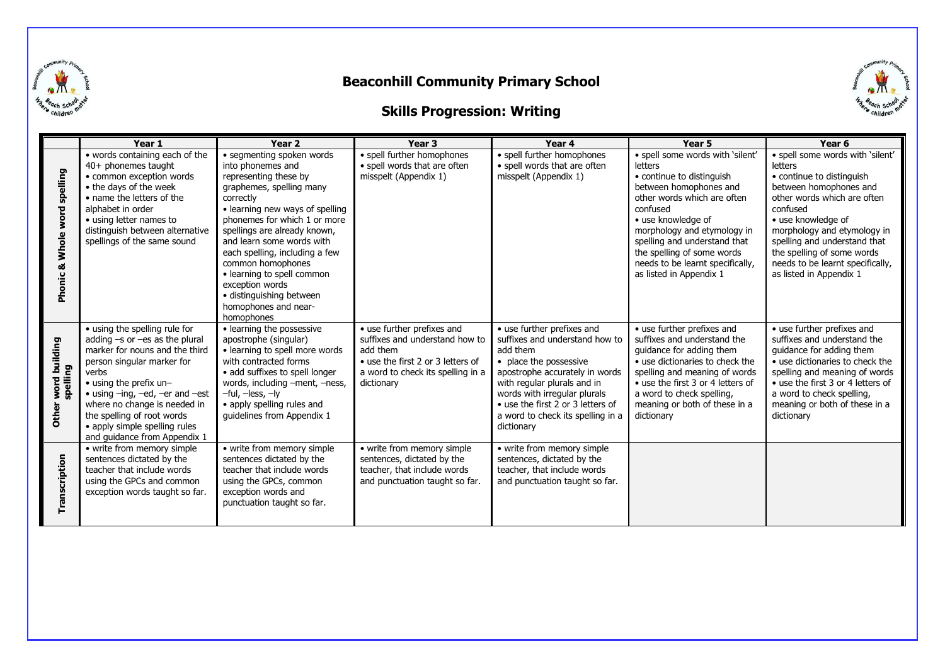





|                                 | Year 1                                                                                                                                                                                                                                                                                                                                                       | Year <sub>2</sub>                                                                                                                                                                                                                                                                                                                                                                                                          | Year <sub>3</sub>                                                                                                                                                | Year 4                                                                                                                                                                                                                                                                                      | Year 5                                                                                                                                                                                                                                                                                                                                 | Year <sub>6</sub>                                                                                                                                                                                                                                                                                                               |
|---------------------------------|--------------------------------------------------------------------------------------------------------------------------------------------------------------------------------------------------------------------------------------------------------------------------------------------------------------------------------------------------------------|----------------------------------------------------------------------------------------------------------------------------------------------------------------------------------------------------------------------------------------------------------------------------------------------------------------------------------------------------------------------------------------------------------------------------|------------------------------------------------------------------------------------------------------------------------------------------------------------------|---------------------------------------------------------------------------------------------------------------------------------------------------------------------------------------------------------------------------------------------------------------------------------------------|----------------------------------------------------------------------------------------------------------------------------------------------------------------------------------------------------------------------------------------------------------------------------------------------------------------------------------------|---------------------------------------------------------------------------------------------------------------------------------------------------------------------------------------------------------------------------------------------------------------------------------------------------------------------------------|
| spelling<br>Phonic & Whole word | • words containing each of the<br>40+ phonemes taught<br>• common exception words<br>• the days of the week<br>• name the letters of the<br>alphabet in order<br>• using letter names to<br>distinguish between alternative<br>spellings of the same sound                                                                                                   | · segmenting spoken words<br>into phonemes and<br>representing these by<br>graphemes, spelling many<br>correctly<br>• learning new ways of spelling<br>phonemes for which 1 or more<br>spellings are already known,<br>and learn some words with<br>each spelling, including a few<br>common homophones<br>• learning to spell common<br>exception words<br>· distinguishing between<br>homophones and near-<br>homophones | · spell further homophones<br>• spell words that are often<br>misspelt (Appendix 1)                                                                              | • spell further homophones<br>• spell words that are often<br>misspelt (Appendix 1)                                                                                                                                                                                                         | · spell some words with 'silent'<br><b>letters</b><br>• continue to distinguish<br>between homophones and<br>other words which are often<br>confused<br>• use knowledge of<br>morphology and etymology in<br>spelling and understand that<br>the spelling of some words<br>needs to be learnt specifically,<br>as listed in Appendix 1 | · spell some words with 'silent'<br>letters<br>• continue to distinguish<br>between homophones and<br>other words which are often<br>confused<br>• use knowledge of<br>morphology and etymology in<br>spelling and understand that<br>the spelling of some words<br>needs to be learnt specifically,<br>as listed in Appendix 1 |
| Other word building<br>spelling | • using the spelling rule for<br>adding $-s$ or $-es$ as the plural<br>marker for nouns and the third<br>person singular marker for<br>verbs<br>• using the prefix un-<br>$\bullet$ using $-$ ing, $-$ ed, $-$ er and $-$ est<br>where no change is needed in<br>the spelling of root words<br>• apply simple spelling rules<br>and guidance from Appendix 1 | • learning the possessive<br>apostrophe (singular)<br>• learning to spell more words<br>with contracted forms<br>• add suffixes to spell longer<br>words, including -ment, -ness,<br>$-$ ful, $-$ less, $-$ ly<br>• apply spelling rules and<br>quidelines from Appendix 1                                                                                                                                                 | • use further prefixes and<br>suffixes and understand how to<br>add them<br>• use the first 2 or 3 letters of<br>a word to check its spelling in a<br>dictionary | • use further prefixes and<br>suffixes and understand how to<br>add them<br>• place the possessive<br>apostrophe accurately in words<br>with regular plurals and in<br>words with irregular plurals<br>• use the first 2 or 3 letters of<br>a word to check its spelling in a<br>dictionary | • use further prefixes and<br>suffixes and understand the<br>guidance for adding them<br>• use dictionaries to check the<br>spelling and meaning of words<br>• use the first 3 or 4 letters of<br>a word to check spelling,<br>meaning or both of these in a<br>dictionary                                                             | • use further prefixes and<br>suffixes and understand the<br>guidance for adding them<br>• use dictionaries to check the<br>spelling and meaning of words<br>• use the first 3 or 4 letters of<br>a word to check spelling,<br>meaning or both of these in a<br>dictionary                                                      |
| Transcription                   | • write from memory simple<br>sentences dictated by the<br>teacher that include words<br>using the GPCs and common<br>exception words taught so far.                                                                                                                                                                                                         | • write from memory simple<br>sentences dictated by the<br>teacher that include words<br>using the GPCs, common<br>exception words and<br>punctuation taught so far.                                                                                                                                                                                                                                                       | • write from memory simple<br>sentences, dictated by the<br>teacher, that include words<br>and punctuation taught so far.                                        | • write from memory simple<br>sentences, dictated by the<br>teacher, that include words<br>and punctuation taught so far.                                                                                                                                                                   |                                                                                                                                                                                                                                                                                                                                        |                                                                                                                                                                                                                                                                                                                                 |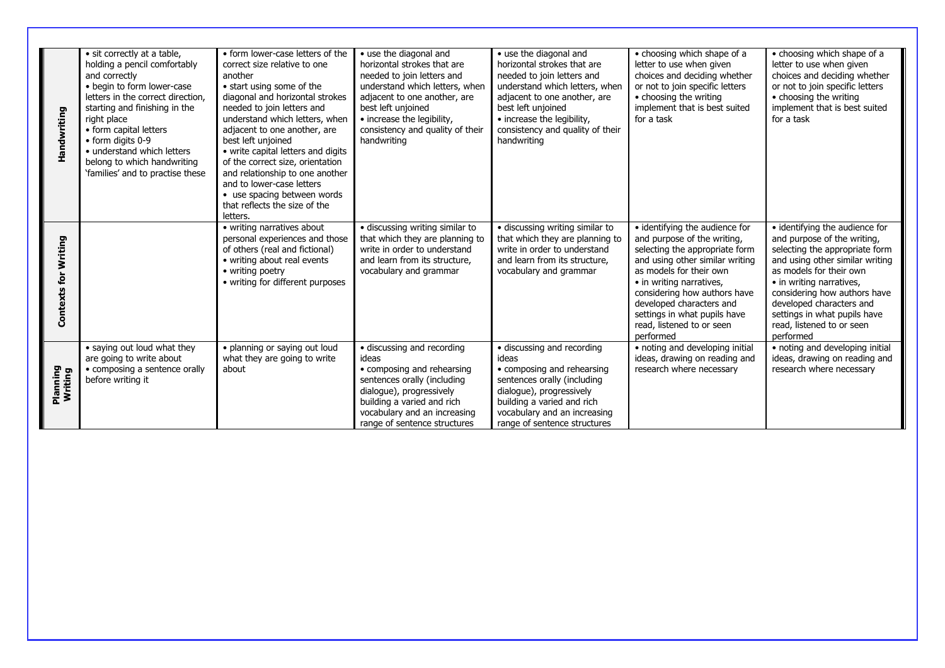| Handwriting                 | · sit correctly at a table,<br>holding a pencil comfortably<br>and correctly<br>· begin to form lower-case<br>letters in the correct direction,<br>starting and finishing in the<br>right place<br>• form capital letters<br>• form digits 0-9<br>• understand which letters<br>belong to which handwriting<br>'families' and to practise these | • form lower-case letters of the<br>correct size relative to one<br>another<br>• start using some of the<br>diagonal and horizontal strokes<br>needed to join letters and<br>understand which letters, when<br>adjacent to one another, are<br>best left unioined<br>• write capital letters and digits<br>of the correct size, orientation<br>and relationship to one another<br>and to lower-case letters<br>• use spacing between words<br>that reflects the size of the<br>letters. | • use the diagonal and<br>horizontal strokes that are<br>needed to join letters and<br>understand which letters, when<br>adjacent to one another, are<br>best left unjoined<br>• increase the legibility,<br>consistency and quality of their<br>handwriting | • use the diagonal and<br>horizontal strokes that are<br>needed to join letters and<br>understand which letters, when<br>adjacent to one another, are<br>best left unjoined<br>• increase the legibility,<br>consistency and quality of their<br>handwriting | • choosing which shape of a<br>letter to use when given<br>choices and deciding whether<br>or not to join specific letters<br>• choosing the writing<br>implement that is best suited<br>for a task                                                                                                                             | • choosing which shape of a<br>letter to use when given<br>choices and deciding whether<br>or not to join specific letters<br>• choosing the writing<br>implement that is best suited<br>for a task                                                                                                                             |
|-----------------------------|-------------------------------------------------------------------------------------------------------------------------------------------------------------------------------------------------------------------------------------------------------------------------------------------------------------------------------------------------|-----------------------------------------------------------------------------------------------------------------------------------------------------------------------------------------------------------------------------------------------------------------------------------------------------------------------------------------------------------------------------------------------------------------------------------------------------------------------------------------|--------------------------------------------------------------------------------------------------------------------------------------------------------------------------------------------------------------------------------------------------------------|--------------------------------------------------------------------------------------------------------------------------------------------------------------------------------------------------------------------------------------------------------------|---------------------------------------------------------------------------------------------------------------------------------------------------------------------------------------------------------------------------------------------------------------------------------------------------------------------------------|---------------------------------------------------------------------------------------------------------------------------------------------------------------------------------------------------------------------------------------------------------------------------------------------------------------------------------|
| <b>Contexts for Writing</b> |                                                                                                                                                                                                                                                                                                                                                 | • writing narratives about<br>personal experiences and those<br>of others (real and fictional)<br>• writing about real events<br>• writing poetry<br>• writing for different purposes                                                                                                                                                                                                                                                                                                   | · discussing writing similar to<br>that which they are planning to<br>write in order to understand<br>and learn from its structure,<br>vocabulary and grammar                                                                                                | · discussing writing similar to<br>that which they are planning to<br>write in order to understand<br>and learn from its structure,<br>vocabulary and grammar                                                                                                | • identifying the audience for<br>and purpose of the writing,<br>selecting the appropriate form<br>and using other similar writing<br>as models for their own<br>• in writing narratives,<br>considering how authors have<br>developed characters and<br>settings in what pupils have<br>read, listened to or seen<br>performed | • identifying the audience for<br>and purpose of the writing,<br>selecting the appropriate form<br>and using other similar writing<br>as models for their own<br>• in writing narratives,<br>considering how authors have<br>developed characters and<br>settings in what pupils have<br>read, listened to or seen<br>performed |
| Planning<br>Writing         | • saying out loud what they<br>are going to write about<br>• composing a sentence orally<br>before writing it                                                                                                                                                                                                                                   | • planning or saying out loud<br>what they are going to write<br>about                                                                                                                                                                                                                                                                                                                                                                                                                  | • discussing and recording<br>ideas<br>• composing and rehearsing<br>sentences orally (including<br>dialogue), progressively<br>building a varied and rich<br>vocabulary and an increasing<br>range of sentence structures                                   | • discussing and recording<br>ideas<br>• composing and rehearsing<br>sentences orally (including<br>dialogue), progressively<br>building a varied and rich<br>vocabulary and an increasing<br>range of sentence structures                                   | • noting and developing initial<br>ideas, drawing on reading and<br>research where necessary                                                                                                                                                                                                                                    | • noting and developing initial<br>ideas, drawing on reading and<br>research where necessary                                                                                                                                                                                                                                    |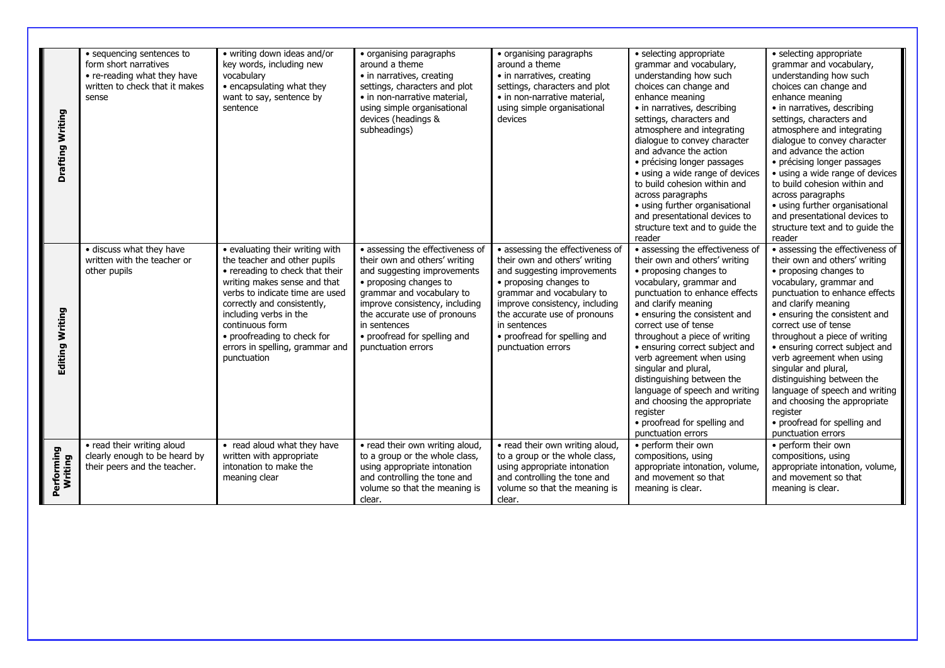|                       | • sequencing sentences to      | • writing down ideas and/or     | • organising paragraphs          | • organising paragraphs          | • selecting appropriate          | · selecting appropriate          |
|-----------------------|--------------------------------|---------------------------------|----------------------------------|----------------------------------|----------------------------------|----------------------------------|
|                       | form short narratives          | key words, including new        | around a theme                   | around a theme                   | grammar and vocabulary,          | grammar and vocabulary,          |
|                       | • re-reading what they have    | vocabularv                      | • in narratives, creating        | • in narratives, creating        | understanding how such           | understanding how such           |
|                       | written to check that it makes | • encapsulating what they       | settings, characters and plot    | settings, characters and plot    | choices can change and           | choices can change and           |
|                       | sense                          | want to say, sentence by        | • in non-narrative material,     | • in non-narrative material,     | enhance meaning                  | enhance meaning                  |
|                       |                                | sentence                        | using simple organisational      | using simple organisational      | • in narratives, describing      | • in narratives, describing      |
|                       |                                |                                 | devices (headings &              | devices                          | settings, characters and         | settings, characters and         |
|                       |                                |                                 | subheadings)                     |                                  | atmosphere and integrating       | atmosphere and integrating       |
|                       |                                |                                 |                                  |                                  | dialogue to convey character     | dialogue to convey character     |
|                       |                                |                                 |                                  |                                  | and advance the action           | and advance the action           |
|                       |                                |                                 |                                  |                                  | • précising longer passages      | • précising longer passages      |
| Drafting Writing      |                                |                                 |                                  |                                  | • using a wide range of devices  | • using a wide range of devices  |
|                       |                                |                                 |                                  |                                  | to build cohesion within and     | to build cohesion within and     |
|                       |                                |                                 |                                  |                                  | across paragraphs                | across paragraphs                |
|                       |                                |                                 |                                  |                                  | · using further organisational   | · using further organisational   |
|                       |                                |                                 |                                  |                                  | and presentational devices to    | and presentational devices to    |
|                       |                                |                                 |                                  |                                  | structure text and to quide the  | structure text and to quide the  |
|                       |                                |                                 |                                  |                                  | reader                           | reader                           |
|                       | · discuss what they have       | • evaluating their writing with | • assessing the effectiveness of | • assessing the effectiveness of | · assessing the effectiveness of | • assessing the effectiveness of |
|                       | written with the teacher or    | the teacher and other pupils    | their own and others' writing    | their own and others' writing    | their own and others' writing    | their own and others' writing    |
|                       | other pupils                   | • rereading to check that their | and suggesting improvements      | and suggesting improvements      | • proposing changes to           | • proposing changes to           |
|                       |                                | writing makes sense and that    | • proposing changes to           | • proposing changes to           | vocabulary, grammar and          | vocabulary, grammar and          |
|                       |                                | verbs to indicate time are used | grammar and vocabulary to        | grammar and vocabulary to        | punctuation to enhance effects   | punctuation to enhance effects   |
|                       |                                | correctly and consistently,     | improve consistency, including   | improve consistency, including   | and clarify meaning              | and clarify meaning              |
| Editing Writing       |                                | including verbs in the          | the accurate use of pronouns     | the accurate use of pronouns     | • ensuring the consistent and    | • ensuring the consistent and    |
|                       |                                | continuous form                 | in sentences                     | in sentences                     | correct use of tense             | correct use of tense             |
|                       |                                | • proofreading to check for     | • proofread for spelling and     | • proofread for spelling and     | throughout a piece of writing    | throughout a piece of writing    |
|                       |                                | errors in spelling, grammar and | punctuation errors               | punctuation errors               | · ensuring correct subject and   | · ensuring correct subject and   |
|                       |                                | punctuation                     |                                  |                                  | verb agreement when using        | verb agreement when using        |
|                       |                                |                                 |                                  |                                  | singular and plural,             | singular and plural,             |
|                       |                                |                                 |                                  |                                  | distinguishing between the       | distinguishing between the       |
|                       |                                |                                 |                                  |                                  | language of speech and writing   | language of speech and writing   |
|                       |                                |                                 |                                  |                                  | and choosing the appropriate     | and choosing the appropriate     |
|                       |                                |                                 |                                  |                                  | register                         | register                         |
|                       |                                |                                 |                                  |                                  | • proofread for spelling and     | • proofread for spelling and     |
|                       |                                |                                 |                                  |                                  | punctuation errors               | punctuation errors               |
|                       | • read their writing aloud     | • read aloud what they have     | • read their own writing aloud,  | • read their own writing aloud,  | • perform their own              | • perform their own              |
| Performing<br>Writing | clearly enough to be heard by  | written with appropriate        | to a group or the whole class,   | to a group or the whole class,   | compositions, using              | compositions, using              |
|                       | their peers and the teacher.   | intonation to make the          | using appropriate intonation     | using appropriate intonation     | appropriate intonation, volume,  | appropriate intonation, volume,  |
|                       |                                | meaning clear                   | and controlling the tone and     | and controlling the tone and     | and movement so that             | and movement so that             |
|                       |                                |                                 | volume so that the meaning is    | volume so that the meaning is    | meaning is clear.                | meaning is clear.                |
|                       |                                |                                 | clear.                           | clear.                           |                                  |                                  |